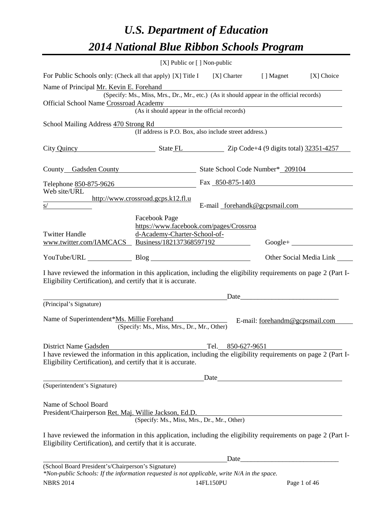### *U.S. Department of Education 2014 National Blue Ribbon Schools Program*

|                                                                                                                                                                                                         |                                                                                          | [X] Public or [] Non-public   |                                                                                                                                                                                                                                |                           |
|---------------------------------------------------------------------------------------------------------------------------------------------------------------------------------------------------------|------------------------------------------------------------------------------------------|-------------------------------|--------------------------------------------------------------------------------------------------------------------------------------------------------------------------------------------------------------------------------|---------------------------|
| For Public Schools only: (Check all that apply) [X] Title I                                                                                                                                             |                                                                                          | $[X]$ Charter                 | [ ] Magnet                                                                                                                                                                                                                     | [X] Choice                |
| Name of Principal Mr. Kevin E. Forehand                                                                                                                                                                 | (Specify: Ms., Miss, Mrs., Dr., Mr., etc.) (As it should appear in the official records) |                               |                                                                                                                                                                                                                                |                           |
| Official School Name Crossroad Academy                                                                                                                                                                  |                                                                                          |                               |                                                                                                                                                                                                                                |                           |
|                                                                                                                                                                                                         | (As it should appear in the official records)                                            |                               |                                                                                                                                                                                                                                |                           |
| School Mailing Address 470 Strong Rd                                                                                                                                                                    | (If address is P.O. Box, also include street address.)                                   |                               |                                                                                                                                                                                                                                |                           |
| City Quincy State FL Zip Code+4 (9 digits total) 32351-4257                                                                                                                                             |                                                                                          |                               |                                                                                                                                                                                                                                |                           |
| County Gadsden County State School Code Number* 209104                                                                                                                                                  |                                                                                          |                               |                                                                                                                                                                                                                                |                           |
| Telephone 850-875-9626<br>Web site/URL                                                                                                                                                                  |                                                                                          | Fax 850-875-1403              |                                                                                                                                                                                                                                |                           |
| s/                                                                                                                                                                                                      | http://www.crossroad.gcps.k12.fl.u                                                       | E-mail forehandk@gcpsmail.com |                                                                                                                                                                                                                                |                           |
|                                                                                                                                                                                                         |                                                                                          |                               |                                                                                                                                                                                                                                |                           |
|                                                                                                                                                                                                         | Facebook Page<br>https://www.facebook.com/pages/Crossroa                                 |                               |                                                                                                                                                                                                                                |                           |
| <b>Twitter Handle</b>                                                                                                                                                                                   | d-Academy-Charter-School-of-                                                             |                               |                                                                                                                                                                                                                                |                           |
| www.twitter.com/IAMCACS Business/182137368597192                                                                                                                                                        |                                                                                          |                               |                                                                                                                                                                                                                                |                           |
| YouTube/URL Blog                                                                                                                                                                                        |                                                                                          |                               |                                                                                                                                                                                                                                | Other Social Media Link _ |
| I have reviewed the information in this application, including the eligibility requirements on page 2 (Part I-<br>Eligibility Certification), and certify that it is accurate.                          |                                                                                          |                               |                                                                                                                                                                                                                                |                           |
|                                                                                                                                                                                                         |                                                                                          | Date                          |                                                                                                                                                                                                                                |                           |
| (Principal's Signature)                                                                                                                                                                                 |                                                                                          |                               |                                                                                                                                                                                                                                |                           |
| Name of Superintendent*Ms. Millie Forehand                                                                                                                                                              | (Specify: Ms., Miss, Mrs., Dr., Mr., Other)                                              |                               | E-mail: forehandm@gcpsmail.com                                                                                                                                                                                                 |                           |
|                                                                                                                                                                                                         |                                                                                          |                               |                                                                                                                                                                                                                                |                           |
| District Name Gadsden<br>I have reviewed the information in this application, including the eligibility requirements on page 2 (Part I-<br>Eligibility Certification), and certify that it is accurate. |                                                                                          | Tel. 850-627-9651             |                                                                                                                                                                                                                                |                           |
|                                                                                                                                                                                                         |                                                                                          | Date                          |                                                                                                                                                                                                                                |                           |
| (Superintendent's Signature)                                                                                                                                                                            |                                                                                          |                               |                                                                                                                                                                                                                                |                           |
|                                                                                                                                                                                                         |                                                                                          |                               |                                                                                                                                                                                                                                |                           |
| Name of School Board<br>President/Chairperson Ret. Maj. Willie Jackson, Ed.D.                                                                                                                           | (Specify: Ms., Miss, Mrs., Dr., Mr., Other)                                              |                               |                                                                                                                                                                                                                                |                           |
|                                                                                                                                                                                                         |                                                                                          |                               |                                                                                                                                                                                                                                |                           |
| I have reviewed the information in this application, including the eligibility requirements on page 2 (Part I-<br>Eligibility Certification), and certify that it is accurate.                          |                                                                                          |                               |                                                                                                                                                                                                                                |                           |
|                                                                                                                                                                                                         |                                                                                          |                               | Date and the state of the state of the state of the state of the state of the state of the state of the state of the state of the state of the state of the state of the state of the state of the state of the state of the s |                           |
| (School Board President's/Chairperson's Signature)<br>*Non-public Schools: If the information requested is not applicable, write N/A in the space.                                                      |                                                                                          |                               |                                                                                                                                                                                                                                |                           |

NBRS 2014 14FL150PU Page 1 of 46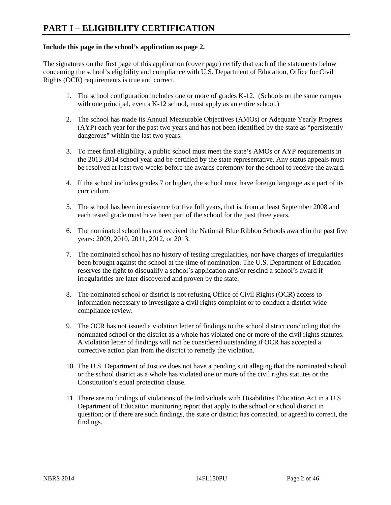#### **Include this page in the school's application as page 2.**

The signatures on the first page of this application (cover page) certify that each of the statements below concerning the school's eligibility and compliance with U.S. Department of Education, Office for Civil Rights (OCR) requirements is true and correct.

- 1. The school configuration includes one or more of grades K-12. (Schools on the same campus with one principal, even a K-12 school, must apply as an entire school.)
- 2. The school has made its Annual Measurable Objectives (AMOs) or Adequate Yearly Progress (AYP) each year for the past two years and has not been identified by the state as "persistently dangerous" within the last two years.
- 3. To meet final eligibility, a public school must meet the state's AMOs or AYP requirements in the 2013-2014 school year and be certified by the state representative. Any status appeals must be resolved at least two weeks before the awards ceremony for the school to receive the award.
- 4. If the school includes grades 7 or higher, the school must have foreign language as a part of its curriculum.
- 5. The school has been in existence for five full years, that is, from at least September 2008 and each tested grade must have been part of the school for the past three years.
- 6. The nominated school has not received the National Blue Ribbon Schools award in the past five years: 2009, 2010, 2011, 2012, or 2013.
- 7. The nominated school has no history of testing irregularities, nor have charges of irregularities been brought against the school at the time of nomination. The U.S. Department of Education reserves the right to disqualify a school's application and/or rescind a school's award if irregularities are later discovered and proven by the state.
- 8. The nominated school or district is not refusing Office of Civil Rights (OCR) access to information necessary to investigate a civil rights complaint or to conduct a district-wide compliance review.
- 9. The OCR has not issued a violation letter of findings to the school district concluding that the nominated school or the district as a whole has violated one or more of the civil rights statutes. A violation letter of findings will not be considered outstanding if OCR has accepted a corrective action plan from the district to remedy the violation.
- 10. The U.S. Department of Justice does not have a pending suit alleging that the nominated school or the school district as a whole has violated one or more of the civil rights statutes or the Constitution's equal protection clause.
- 11. There are no findings of violations of the Individuals with Disabilities Education Act in a U.S. Department of Education monitoring report that apply to the school or school district in question; or if there are such findings, the state or district has corrected, or agreed to correct, the findings.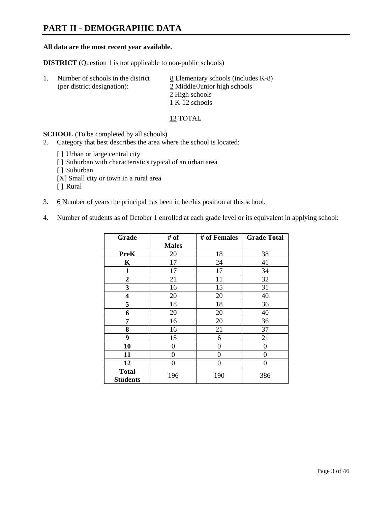### **PART II - DEMOGRAPHIC DATA**

#### **All data are the most recent year available.**

**DISTRICT** (Question 1 is not applicable to non-public schools)

| -1. | Number of schools in the district<br>(per district designation): | 8 Elementary schools (includes K-8)<br>2 Middle/Junior high schools |
|-----|------------------------------------------------------------------|---------------------------------------------------------------------|
|     |                                                                  | 2 High schools                                                      |
|     |                                                                  | 1 K-12 schools                                                      |

13 TOTAL

**SCHOOL** (To be completed by all schools)

- 2. Category that best describes the area where the school is located:
	- [] Urban or large central city
	- [ ] Suburban with characteristics typical of an urban area
	- [ ] Suburban
	- [X] Small city or town in a rural area
	- [ ] Rural
- 3. 6 Number of years the principal has been in her/his position at this school.
- 4. Number of students as of October 1 enrolled at each grade level or its equivalent in applying school:

| Grade                           | # of         | # of Females | <b>Grade Total</b> |
|---------------------------------|--------------|--------------|--------------------|
|                                 | <b>Males</b> |              |                    |
| PreK                            | 20           | 18           | 38                 |
| K                               | 17           | 24           | 41                 |
| $\mathbf{1}$                    | 17           | 17           | 34                 |
| $\mathbf{2}$                    | 21           | 11           | 32                 |
| 3                               | 16           | 15           | 31                 |
| 4                               | 20           | 20           | 40                 |
| 5                               | 18           | 18           | 36                 |
| 6                               | 20           | 20           | 40                 |
| 7                               | 16           | 20           | 36                 |
| 8                               | 16           | 21           | 37                 |
| 9                               | 15           | 6            | 21                 |
| 10                              | $\theta$     | $\theta$     | 0                  |
| 11                              | 0            | 0            | 0                  |
| 12                              | 0            | 0            | 0                  |
| <b>Total</b><br><b>Students</b> | 196          | 190          | 386                |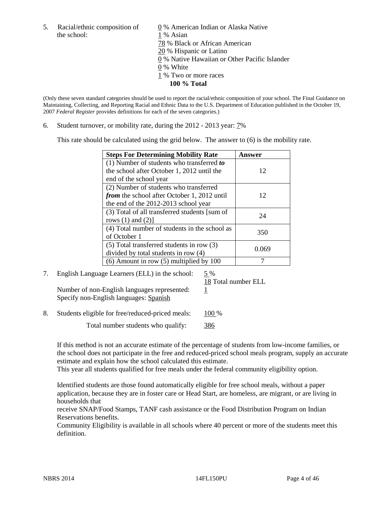the school: 1 % Asian

5. Racial/ethnic composition of 0 % American Indian or Alaska Native 78 % Black or African American 20 % Hispanic or Latino 0 % Native Hawaiian or Other Pacific Islander 0 % White 1 % Two or more races **100 % Total** 

(Only these seven standard categories should be used to report the racial/ethnic composition of your school. The Final Guidance on Maintaining, Collecting, and Reporting Racial and Ethnic Data to the U.S. Department of Education published in the October 19, 2007 *Federal Register* provides definitions for each of the seven categories.)

6. Student turnover, or mobility rate, during the 2012 - 2013 year: 7%

This rate should be calculated using the grid below. The answer to (6) is the mobility rate.

| <b>Steps For Determining Mobility Rate</b>         | Answer |
|----------------------------------------------------|--------|
| (1) Number of students who transferred to          |        |
| the school after October 1, 2012 until the         | 12     |
| end of the school year                             |        |
| (2) Number of students who transferred             |        |
| <i>from</i> the school after October 1, 2012 until | 12     |
| the end of the 2012-2013 school year               |        |
| (3) Total of all transferred students [sum of      | 24     |
| rows $(1)$ and $(2)$ ]                             |        |
| (4) Total number of students in the school as      | 350    |
| of October 1                                       |        |
| $(5)$ Total transferred students in row $(3)$      | 0.069  |
| divided by total students in row (4)               |        |
| $(6)$ Amount in row $(5)$ multiplied by 100        |        |

### 7. English Language Learners (ELL) in the school: 5 %

18 Total number ELL

Number of non-English languages represented: 1 Specify non-English languages: Spanish

8. Students eligible for free/reduced-priced meals: 100 %

Total number students who qualify: 386

If this method is not an accurate estimate of the percentage of students from low-income families, or the school does not participate in the free and reduced-priced school meals program, supply an accurate estimate and explain how the school calculated this estimate.

This year all students qualified for free meals under the federal community eligibility option.

Identified students are those found automatically eligible for free school meals, without a paper application, because they are in foster care or Head Start, are homeless, are migrant, or are living in households that

receive SNAP/Food Stamps, TANF cash assistance or the Food Distribution Program on Indian Reservations benefits.

Community Eligibility is available in all schools where 40 percent or more of the students meet this definition.

NBRS 2014 2001 14FL150PU Page 4 of 46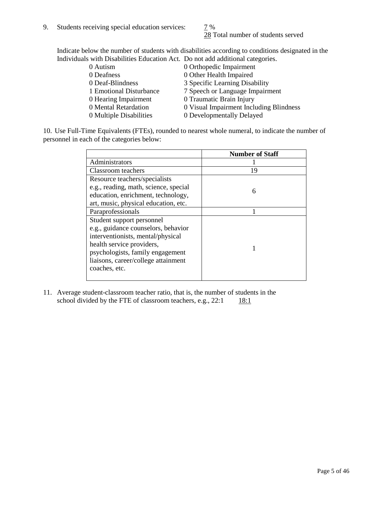28 Total number of students served

Indicate below the number of students with disabilities according to conditions designated in the Individuals with Disabilities Education Act. Do not add additional categories.

| 0 Autism                | 0 Orthopedic Impairment                 |
|-------------------------|-----------------------------------------|
| 0 Deafness              | 0 Other Health Impaired                 |
| 0 Deaf-Blindness        | 3 Specific Learning Disability          |
| 1 Emotional Disturbance | 7 Speech or Language Impairment         |
| 0 Hearing Impairment    | 0 Traumatic Brain Injury                |
| 0 Mental Retardation    | 0 Visual Impairment Including Blindness |
| 0 Multiple Disabilities | 0 Developmentally Delayed               |
|                         |                                         |

10. Use Full-Time Equivalents (FTEs), rounded to nearest whole numeral, to indicate the number of personnel in each of the categories below:

|                                       | <b>Number of Staff</b> |
|---------------------------------------|------------------------|
| Administrators                        |                        |
| Classroom teachers                    | 19                     |
| Resource teachers/specialists         |                        |
| e.g., reading, math, science, special | 6                      |
| education, enrichment, technology,    |                        |
| art, music, physical education, etc.  |                        |
| Paraprofessionals                     |                        |
| Student support personnel             |                        |
| e.g., guidance counselors, behavior   |                        |
| interventionists, mental/physical     |                        |
| health service providers,             |                        |
| psychologists, family engagement      |                        |
| liaisons, career/college attainment   |                        |
| coaches, etc.                         |                        |
|                                       |                        |

11. Average student-classroom teacher ratio, that is, the number of students in the school divided by the FTE of classroom teachers, e.g.,  $22:1$  18:1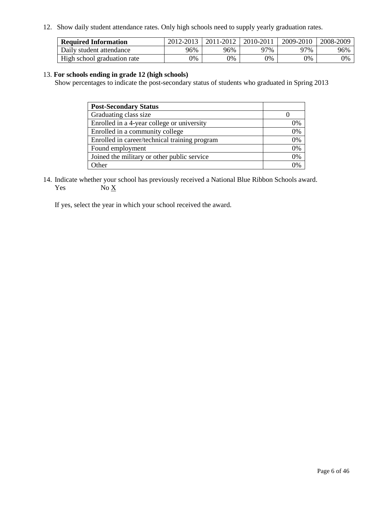12. Show daily student attendance rates. Only high schools need to supply yearly graduation rates.

| <b>Required Information</b> | 2012-2013 | 2011-2012 | 2010-2011 | 2009-2010 | 2008-2009 |
|-----------------------------|-----------|-----------|-----------|-----------|-----------|
| Daily student attendance    | 96%       | 96%       | ን7%       | 97%       | 96%       |
| High school graduation rate | 0%        | 9%        | 0%        | 0%        | 0%        |

#### 13. **For schools ending in grade 12 (high schools)**

Show percentages to indicate the post-secondary status of students who graduated in Spring 2013

| <b>Post-Secondary Status</b>                  |    |
|-----------------------------------------------|----|
| Graduating class size                         |    |
| Enrolled in a 4-year college or university    | 0% |
| Enrolled in a community college               | 0% |
| Enrolled in career/technical training program | 0% |
| Found employment                              | 0% |
| Joined the military or other public service   | 0% |
| <b>Other</b>                                  | 2% |

14. Indicate whether your school has previously received a National Blue Ribbon Schools award. Yes  $No \underline{X}$ 

If yes, select the year in which your school received the award.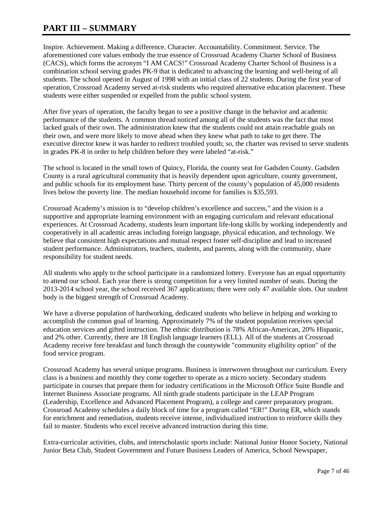### **PART III – SUMMARY**

Inspire. Achievement. Making a difference. Character. Accountability. Commitment. Service. The aforementioned core values embody the true essence of Crossroad Academy Charter School of Business (CACS), which forms the acronym "I AM CACS!" Crossroad Academy Charter School of Business is a combination school serving grades PK-9 that is dedicated to advancing the learning and well-being of all students. The school opened in August of 1998 with an initial class of 22 students. During the first year of operation, Crossroad Academy served at-risk students who required alternative education placement. These students were either suspended or expelled from the public school system.

After five years of operation, the faculty began to see a positive change in the behavior and academic performance of the students. A common thread noticed among all of the students was the fact that most lacked goals of their own. The administration knew that the students could not attain reachable goals on their own, and were more likely to move ahead when they knew what path to take to get there. The executive director knew it was harder to redirect troubled youth; so, the charter was revised to serve students in grades PK-8 in order to help children before they were labeled "at-risk."

The school is located in the small town of Quincy, Florida, the county seat for Gadsden County. Gadsden County is a rural agricultural community that is heavily dependent upon agriculture, county government, and public schools for its employment base. Thirty percent of the county's population of 45,000 residents lives below the poverty line. The median household income for families is \$35,593.

Crossroad Academy's mission is to "develop children's excellence and success," and the vision is a supportive and appropriate learning environment with an engaging curriculum and relevant educational experiences. At Crossroad Academy, students learn important life-long skills by working independently and cooperatively in all academic areas including foreign language, physical education, and technology. We believe that consistent high expectations and mutual respect foster self-discipline and lead to increased student performance. Administrators, teachers, students, and parents, along with the community, share responsibility for student needs.

All students who apply to the school participate in a randomized lottery. Everyone has an equal opportunity to attend our school. Each year there is strong competition for a very limited number of seats. During the 2013-2014 school year, the school received 367 applications; there were only 47 available slots. Our student body is the biggest strength of Crossroad Academy.

We have a diverse population of hardworking, dedicated students who believe in helping and working to accomplish the common goal of learning. Approximately 7% of the student population receives special education services and gifted instruction. The ethnic distribution is 78% African-American, 20% Hispanic, and 2% other. Currently, there are 18 English language learners (ELL). All of the students at Crossroad Academy receive free breakfast and lunch through the countywide "community eligibility option" of the food service program.

Crossroad Academy has several unique programs. Business is interwoven throughout our curriculum. Every class is a business and monthly they come together to operate as a micro society. Secondary students participate in courses that prepare them for industry certifications in the Microsoft Office Suite Bundle and Internet Business Associate programs. All ninth grade students participate in the LEAP Program (Leadership, Excellence and Advanced Placement Program), a college and career preparatory program. Crossroad Academy schedules a daily block of time for a program called "ER!" During ER, which stands for enrichment and remediation, students receive intense, individualized instruction to reinforce skills they fail to master. Students who excel receive advanced instruction during this time.

Extra-curricular activities, clubs, and interscholastic sports include: National Junior Honor Society, National Junior Beta Club, Student Government and Future Business Leaders of America, School Newspaper,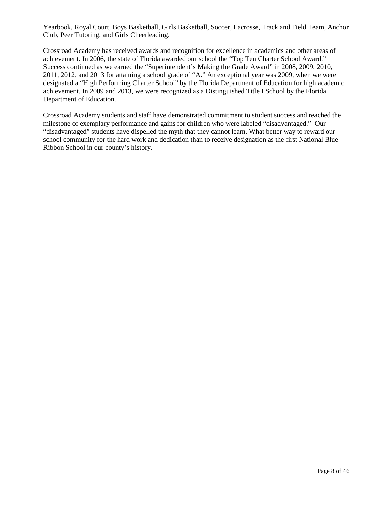Yearbook, Royal Court, Boys Basketball, Girls Basketball, Soccer, Lacrosse, Track and Field Team, Anchor Club, Peer Tutoring, and Girls Cheerleading.

Crossroad Academy has received awards and recognition for excellence in academics and other areas of achievement. In 2006, the state of Florida awarded our school the "Top Ten Charter School Award." Success continued as we earned the "Superintendent's Making the Grade Award" in 2008, 2009, 2010, 2011, 2012, and 2013 for attaining a school grade of "A." An exceptional year was 2009, when we were designated a "High Performing Charter School" by the Florida Department of Education for high academic achievement. In 2009 and 2013, we were recognized as a Distinguished Title I School by the Florida Department of Education.

Crossroad Academy students and staff have demonstrated commitment to student success and reached the milestone of exemplary performance and gains for children who were labeled "disadvantaged." Our "disadvantaged" students have dispelled the myth that they cannot learn. What better way to reward our school community for the hard work and dedication than to receive designation as the first National Blue Ribbon School in our county's history.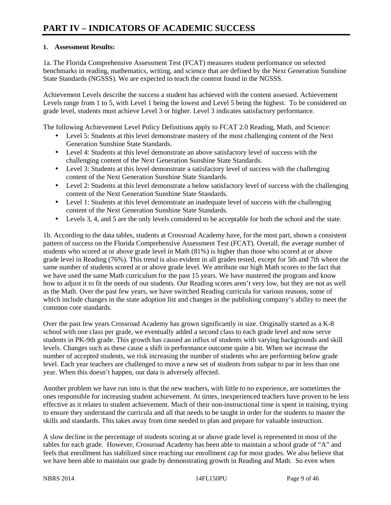#### **1. Assessment Results:**

1a. The Florida Comprehensive Assessment Test (FCAT) measures student performance on selected benchmarks in reading, mathematics, writing, and science that are defined by the Next Generation Sunshine State Standards (NGSSS). We are expected to teach the content found in the NGSSS.

Achievement Levels describe the success a student has achieved with the content assessed. Achievement Levels range from 1 to 5, with Level 1 being the lowest and Level 5 being the highest. To be considered on grade level, students must achieve Level 3 or higher. Level 3 indicates satisfactory performance.

The following Achievement Level Policy Definitions apply to FCAT 2.0 Reading, Math, and Science:

- Level 5: Students at this level demonstrate mastery of the most challenging content of the Next Generation Sunshine State Standards.
- Level 4: Students at this level demonstrate an above satisfactory level of success with the challenging content of the Next Generation Sunshine State Standards.
- Level 3: Students at this level demonstrate a satisfactory level of success with the challenging content of the Next Generation Sunshine State Standards.
- Level 2: Students at this level demonstrate a below satisfactory level of success with the challenging content of the Next Generation Sunshine State Standards.
- Level 1: Students at this level demonstrate an inadequate level of success with the challenging content of the Next Generation Sunshine State Standards.
- Levels 3, 4, and 5 are the only levels considered to be acceptable for both the school and the state.

1b. According to the data tables, students at Crossroad Academy have, for the most part, shown a consistent pattern of success on the Florida Comprehensive Assessment Test (FCAT). Overall, the average number of students who scored at or above grade level in Math (81%) is higher than those who scored at or above grade level in Reading (76%). This trend is also evident in all grades tested, except for 5th and 7th where the same number of students scored at or above grade level. We attribute our high Math scores to the fact that we have used the same Math curriculum for the past 15 years. We have mastered the program and know how to adjust it to fit the needs of our students. Our Reading scores aren't very low, but they are not as well as the Math. Over the past few years, we have switched Reading curricula for various reasons, some of which include changes in the state adoption list and changes in the publishing company's ability to meet the common core standards.

Over the past few years Crossroad Academy has grown significantly in size. Originally started as a K-8 school with one class per grade, we eventually added a second class to each grade level and now serve students in PK-9th grade. This growth has caused an influx of students with varying backgrounds and skill levels. Changes such as these cause a shift in performance outcome quite a bit. When we increase the number of accepted students, we risk increasing the number of students who are performing below grade level. Each year teachers are challenged to move a new set of students from subpar to par in less than one year. When this doesn't happen, our data is adversely affected.

Another problem we have run into is that the new teachers, with little to no experience, are sometimes the ones responsible for increasing student achievement. At times, inexperienced teachers have proven to be less effective as it relates to student achievement. Much of their non-instructional time is spent in training, trying to ensure they understand the curricula and all that needs to be taught in order for the students to master the skills and standards. This takes away from time needed to plan and prepare for valuable instruction.

A slow decline in the percentage of students scoring at or above grade level is represented in most of the tables for each grade. However, Crossroad Academy has been able to maintain a school grade of "A" and feels that enrollment has stabilized since reaching our enrollment cap for most grades. We also believe that we have been able to maintain our grade by demonstrating growth in Reading and Math. So even when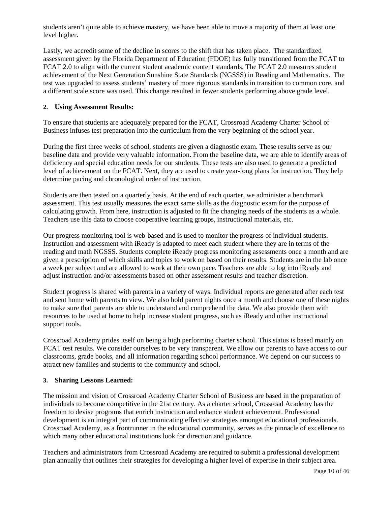students aren't quite able to achieve mastery, we have been able to move a majority of them at least one level higher.

Lastly, we accredit some of the decline in scores to the shift that has taken place. The standardized assessment given by the Florida Department of Education (FDOE) has fully transitioned from the FCAT to FCAT 2.0 to align with the current student academic content standards. The FCAT 2.0 measures student achievement of the Next Generation Sunshine State Standards (NGSSS) in Reading and Mathematics. The test was upgraded to assess students' mastery of more rigorous standards in transition to common core, and a different scale score was used. This change resulted in fewer students performing above grade level.

#### **2. Using Assessment Results:**

To ensure that students are adequately prepared for the FCAT, Crossroad Academy Charter School of Business infuses test preparation into the curriculum from the very beginning of the school year.

During the first three weeks of school, students are given a diagnostic exam. These results serve as our baseline data and provide very valuable information. From the baseline data, we are able to identify areas of deficiency and special education needs for our students. These tests are also used to generate a predicted level of achievement on the FCAT. Next, they are used to create year-long plans for instruction. They help determine pacing and chronological order of instruction.

Students are then tested on a quarterly basis. At the end of each quarter, we administer a benchmark assessment. This test usually measures the exact same skills as the diagnostic exam for the purpose of calculating growth. From here, instruction is adjusted to fit the changing needs of the students as a whole. Teachers use this data to choose cooperative learning groups, instructional materials, etc.

Our progress monitoring tool is web-based and is used to monitor the progress of individual students. Instruction and assessment with iReady is adapted to meet each student where they are in terms of the reading and math NGSSS. Students complete iReady progress monitoring assessments once a month and are given a prescription of which skills and topics to work on based on their results. Students are in the lab once a week per subject and are allowed to work at their own pace. Teachers are able to log into iReady and adjust instruction and/or assessments based on other assessment results and teacher discretion.

Student progress is shared with parents in a variety of ways. Individual reports are generated after each test and sent home with parents to view. We also hold parent nights once a month and choose one of these nights to make sure that parents are able to understand and comprehend the data. We also provide them with resources to be used at home to help increase student progress, such as iReady and other instructional support tools.

Crossroad Academy prides itself on being a high performing charter school. This status is based mainly on FCAT test results. We consider ourselves to be very transparent. We allow our parents to have access to our classrooms, grade books, and all information regarding school performance. We depend on our success to attract new families and students to the community and school.

#### **3. Sharing Lessons Learned:**

The mission and vision of Crossroad Academy Charter School of Business are based in the preparation of individuals to become competitive in the 21st century. As a charter school, Crossroad Academy has the freedom to devise programs that enrich instruction and enhance student achievement. Professional development is an integral part of communicating effective strategies amongst educational professionals. Crossroad Academy, as a frontrunner in the educational community, serves as the pinnacle of excellence to which many other educational institutions look for direction and guidance.

Teachers and administrators from Crossroad Academy are required to submit a professional development plan annually that outlines their strategies for developing a higher level of expertise in their subject area.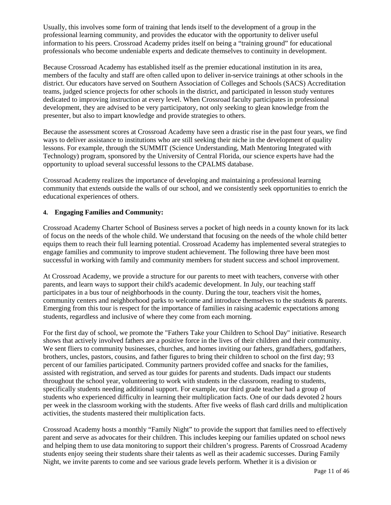Usually, this involves some form of training that lends itself to the development of a group in the professional learning community, and provides the educator with the opportunity to deliver useful information to his peers. Crossroad Academy prides itself on being a "training ground" for educational professionals who become undeniable experts and dedicate themselves to continuity in development.

Because Crossroad Academy has established itself as the premier educational institution in its area, members of the faculty and staff are often called upon to deliver in-service trainings at other schools in the district. Our educators have served on Southern Association of Colleges and Schools (SACS) Accreditation teams, judged science projects for other schools in the district, and participated in lesson study ventures dedicated to improving instruction at every level. When Crossroad faculty participates in professional development, they are advised to be very participatory, not only seeking to glean knowledge from the presenter, but also to impart knowledge and provide strategies to others.

Because the assessment scores at Crossroad Academy have seen a drastic rise in the past four years, we find ways to deliver assistance to institutions who are still seeking their niche in the development of quality lessons. For example, through the SUMMIT (Science Understanding, Math Mentoring Integrated with Technology) program, sponsored by the University of Central Florida, our science experts have had the opportunity to upload several successful lessons to the CPALMS database.

Crossroad Academy realizes the importance of developing and maintaining a professional learning community that extends outside the walls of our school, and we consistently seek opportunities to enrich the educational experiences of others.

#### **4. Engaging Families and Community:**

Crossroad Academy Charter School of Business serves a pocket of high needs in a county known for its lack of focus on the needs of the whole child. We understand that focusing on the needs of the whole child better equips them to reach their full learning potential. Crossroad Academy has implemented several strategies to engage families and community to improve student achievement. The following three have been most successful in working with family and community members for student success and school improvement.

At Crossroad Academy, we provide a structure for our parents to meet with teachers, converse with other parents, and learn ways to support their child's academic development. In July, our teaching staff participates in a bus tour of neighborhoods in the county. During the tour, teachers visit the homes, community centers and neighborhood parks to welcome and introduce themselves to the students & parents. Emerging from this tour is respect for the importance of families in raising academic expectations among students, regardless and inclusive of where they come from each morning.

For the first day of school, we promote the "Fathers Take your Children to School Day" initiative. Research shows that actively involved fathers are a positive force in the lives of their children and their community. We sent fliers to community businesses, churches, and homes inviting our fathers, grandfathers, godfathers, brothers, uncles, pastors, cousins, and father figures to bring their children to school on the first day; 93 percent of our families participated. Community partners provided coffee and snacks for the families, assisted with registration, and served as tour guides for parents and students. Dads impact our students throughout the school year, volunteering to work with students in the classroom, reading to students, specifically students needing additional support. For example, our third grade teacher had a group of students who experienced difficulty in learning their multiplication facts. One of our dads devoted 2 hours per week in the classroom working with the students. After five weeks of flash card drills and multiplication activities, the students mastered their multiplication facts.

Crossroad Academy hosts a monthly "Family Night" to provide the support that families need to effectively parent and serve as advocates for their children. This includes keeping our families updated on school news and helping them to use data monitoring to support their children's progress. Parents of Crossroad Academy students enjoy seeing their students share their talents as well as their academic successes. During Family Night, we invite parents to come and see various grade levels perform. Whether it is a division or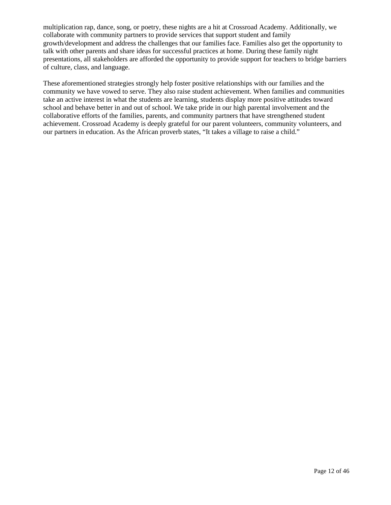multiplication rap, dance, song, or poetry, these nights are a hit at Crossroad Academy. Additionally, we collaborate with community partners to provide services that support student and family growth/development and address the challenges that our families face. Families also get the opportunity to talk with other parents and share ideas for successful practices at home. During these family night presentations, all stakeholders are afforded the opportunity to provide support for teachers to bridge barriers of culture, class, and language.

These aforementioned strategies strongly help foster positive relationships with our families and the community we have vowed to serve. They also raise student achievement. When families and communities take an active interest in what the students are learning, students display more positive attitudes toward school and behave better in and out of school. We take pride in our high parental involvement and the collaborative efforts of the families, parents, and community partners that have strengthened student achievement. Crossroad Academy is deeply grateful for our parent volunteers, community volunteers, and our partners in education. As the African proverb states, "It takes a village to raise a child."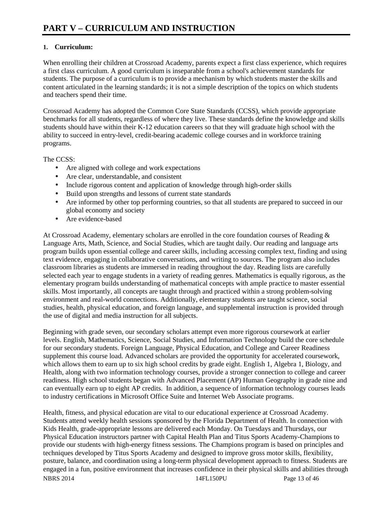### **1. Curriculum:**

When enrolling their children at Crossroad Academy, parents expect a first class experience, which requires a first class curriculum. A good curriculum is inseparable from a school's achievement standards for students. The purpose of a curriculum is to provide a mechanism by which students master the skills and content articulated in the learning standards; it is not a simple description of the topics on which students and teachers spend their time.

Crossroad Academy has adopted the Common Core State Standards (CCSS), which provide appropriate benchmarks for all students, regardless of where they live. These standards define the knowledge and skills students should have within their K-12 education careers so that they will graduate high school with the ability to succeed in entry-level, credit-bearing academic college courses and in workforce training programs.

The CCSS:

- Are aligned with college and work expectations
- Are clear, understandable, and consistent
- Include rigorous content and application of knowledge through high-order skills
- Build upon strengths and lessons of current state standards
- Are informed by other top performing countries, so that all students are prepared to succeed in our global economy and society
- Are evidence-based

At Crossroad Academy, elementary scholars are enrolled in the core foundation courses of Reading & Language Arts, Math, Science, and Social Studies, which are taught daily. Our reading and language arts program builds upon essential college and career skills, including accessing complex text, finding and using text evidence, engaging in collaborative conversations, and writing to sources. The program also includes classroom libraries as students are immersed in reading throughout the day. Reading lists are carefully selected each year to engage students in a variety of reading genres. Mathematics is equally rigorous, as the elementary program builds understanding of mathematical concepts with ample practice to master essential skills. Most importantly, all concepts are taught through and practiced within a strong problem-solving environment and real-world connections. Additionally, elementary students are taught science, social studies, health, physical education, and foreign language, and supplemental instruction is provided through the use of digital and media instruction for all subjects.

Beginning with grade seven, our secondary scholars attempt even more rigorous coursework at earlier levels. English, Mathematics, Science, Social Studies, and Information Technology build the core schedule for our secondary students. Foreign Language, Physical Education, and College and Career Readiness supplement this course load. Advanced scholars are provided the opportunity for accelerated coursework, which allows them to earn up to six high school credits by grade eight. English 1, Algebra 1, Biology, and Health, along with two information technology courses, provide a stronger connection to college and career readiness. High school students began with Advanced Placement (AP) Human Geography in grade nine and can eventually earn up to eight AP credits. In addition, a sequence of information technology courses leads to industry certifications in Microsoft Office Suite and Internet Web Associate programs.

NBRS 2014 2014 14FL150PU Page 13 of 46 Health, fitness, and physical education are vital to our educational experience at Crossroad Academy. Students attend weekly health sessions sponsored by the Florida Department of Health. In connection with Kids Health, grade-appropriate lessons are delivered each Monday. On Tuesdays and Thursdays, our Physical Education instructors partner with Capital Health Plan and Titus Sports Academy-Champions to provide our students with high-energy fitness sessions. The Champions program is based on principles and techniques developed by Titus Sports Academy and designed to improve gross motor skills, flexibility, posture, balance, and coordination using a long-term physical development approach to fitness. Students are engaged in a fun, positive environment that increases confidence in their physical skills and abilities through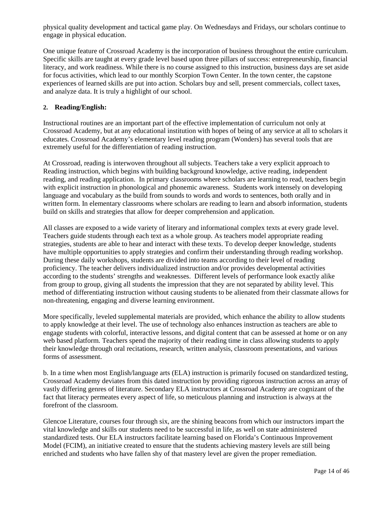physical quality development and tactical game play. On Wednesdays and Fridays, our scholars continue to engage in physical education.

One unique feature of Crossroad Academy is the incorporation of business throughout the entire curriculum. Specific skills are taught at every grade level based upon three pillars of success: entrepreneurship, financial literacy, and work readiness. While there is no course assigned to this instruction, business days are set aside for focus activities, which lead to our monthly Scorpion Town Center. In the town center, the capstone experiences of learned skills are put into action. Scholars buy and sell, present commercials, collect taxes, and analyze data. It is truly a highlight of our school.

#### **2. Reading/English:**

Instructional routines are an important part of the effective implementation of curriculum not only at Crossroad Academy, but at any educational institution with hopes of being of any service at all to scholars it educates. Crossroad Academy's elementary level reading program (Wonders) has several tools that are extremely useful for the differentiation of reading instruction.

At Crossroad, reading is interwoven throughout all subjects. Teachers take a very explicit approach to Reading instruction, which begins with building background knowledge, active reading, independent reading, and reading application. In primary classrooms where scholars are learning to read, teachers begin with explicit instruction in phonological and phonemic awareness. Students work intensely on developing language and vocabulary as the build from sounds to words and words to sentences, both orally and in written form. In elementary classrooms where scholars are reading to learn and absorb information, students build on skills and strategies that allow for deeper comprehension and application.

All classes are exposed to a wide variety of literary and informational complex texts at every grade level. Teachers guide students through each text as a whole group. As teachers model appropriate reading strategies, students are able to hear and interact with these texts. To develop deeper knowledge, students have multiple opportunities to apply strategies and confirm their understanding through reading workshop. During these daily workshops, students are divided into teams according to their level of reading proficiency. The teacher delivers individualized instruction and/or provides developmental activities according to the students' strengths and weaknesses. Different levels of performance look exactly alike from group to group, giving all students the impression that they are not separated by ability level. This method of differentiating instruction without causing students to be alienated from their classmate allows for non-threatening, engaging and diverse learning environment.

More specifically, leveled supplemental materials are provided, which enhance the ability to allow students to apply knowledge at their level. The use of technology also enhances instruction as teachers are able to engage students with colorful, interactive lessons, and digital content that can be assessed at home or on any web based platform. Teachers spend the majority of their reading time in class allowing students to apply their knowledge through oral recitations, research, written analysis, classroom presentations, and various forms of assessment.

b. In a time when most English/language arts (ELA) instruction is primarily focused on standardized testing, Crossroad Academy deviates from this dated instruction by providing rigorous instruction across an array of vastly differing genres of literature. Secondary ELA instructors at Crossroad Academy are cognizant of the fact that literacy permeates every aspect of life, so meticulous planning and instruction is always at the forefront of the classroom.

Glencoe Literature, courses four through six, are the shining beacons from which our instructors impart the vital knowledge and skills our students need to be successful in life, as well on state administered standardized tests. Our ELA instructors facilitate learning based on Florida's Continuous Improvement Model (FCIM), an initiative created to ensure that the students achieving mastery levels are still being enriched and students who have fallen shy of that mastery level are given the proper remediation.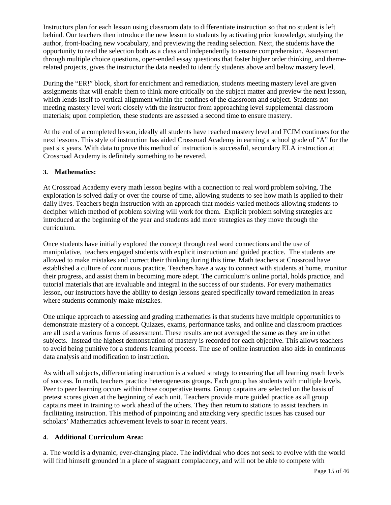Instructors plan for each lesson using classroom data to differentiate instruction so that no student is left behind. Our teachers then introduce the new lesson to students by activating prior knowledge, studying the author, front-loading new vocabulary, and previewing the reading selection. Next, the students have the opportunity to read the selection both as a class and independently to ensure comprehension. Assessment through multiple choice questions, open-ended essay questions that foster higher order thinking, and themerelated projects, gives the instructor the data needed to identify students above and below mastery level.

During the "ER!" block, short for enrichment and remediation, students meeting mastery level are given assignments that will enable them to think more critically on the subject matter and preview the next lesson, which lends itself to vertical alignment within the confines of the classroom and subject. Students not meeting mastery level work closely with the instructor from approaching level supplemental classroom materials; upon completion, these students are assessed a second time to ensure mastery.

At the end of a completed lesson, ideally all students have reached mastery level and FCIM continues for the next lessons. This style of instruction has aided Crossroad Academy in earning a school grade of "A" for the past six years. With data to prove this method of instruction is successful, secondary ELA instruction at Crossroad Academy is definitely something to be revered.

#### **3. Mathematics:**

At Crossroad Academy every math lesson begins with a connection to real word problem solving. The exploration is solved daily or over the course of time, allowing students to see how math is applied to their daily lives. Teachers begin instruction with an approach that models varied methods allowing students to decipher which method of problem solving will work for them. Explicit problem solving strategies are introduced at the beginning of the year and students add more strategies as they move through the curriculum.

Once students have initially explored the concept through real word connections and the use of manipulative, teachers engaged students with explicit instruction and guided practice. The students are allowed to make mistakes and correct their thinking during this time. Math teachers at Crossroad have established a culture of continuous practice. Teachers have a way to connect with students at home, monitor their progress, and assist them in becoming more adept. The curriculum's online portal, holds practice, and tutorial materials that are invaluable and integral in the success of our students. For every mathematics lesson, our instructors have the ability to design lessons geared specifically toward remediation in areas where students commonly make mistakes.

One unique approach to assessing and grading mathematics is that students have multiple opportunities to demonstrate mastery of a concept. Quizzes, exams, performance tasks, and online and classroom practices are all used a various forms of assessment. These results are not averaged the same as they are in other subjects. Instead the highest demonstration of mastery is recorded for each objective. This allows teachers to avoid being punitive for a students learning process. The use of online instruction also aids in continuous data analysis and modification to instruction.

As with all subjects, differentiating instruction is a valued strategy to ensuring that all learning reach levels of success. In math, teachers practice heterogeneous groups. Each group has students with multiple levels. Peer to peer learning occurs within these cooperative teams. Group captains are selected on the basis of pretest scores given at the beginning of each unit. Teachers provide more guided practice as all group captains meet in training to work ahead of the others. They then return to stations to assist teachers in facilitating instruction. This method of pinpointing and attacking very specific issues has caused our scholars' Mathematics achievement levels to soar in recent years.

#### **4. Additional Curriculum Area:**

a. The world is a dynamic, ever-changing place. The individual who does not seek to evolve with the world will find himself grounded in a place of stagnant complacency, and will not be able to compete with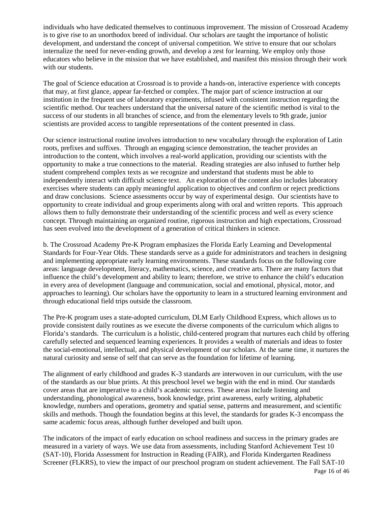individuals who have dedicated themselves to continuous improvement. The mission of Crossroad Academy is to give rise to an unorthodox breed of individual. Our scholars are taught the importance of holistic development, and understand the concept of universal competition. We strive to ensure that our scholars internalize the need for never-ending growth, and develop a zest for learning. We employ only those educators who believe in the mission that we have established, and manifest this mission through their work with our students.

The goal of Science education at Crossroad is to provide a hands-on, interactive experience with concepts that may, at first glance, appear far-fetched or complex. The major part of science instruction at our institution in the frequent use of laboratory experiments, infused with consistent instruction regarding the scientific method. Our teachers understand that the universal nature of the scientific method is vital to the success of our students in all branches of science, and from the elementary levels to 9th grade, junior scientists are provided access to tangible representations of the content presented in class.

Our science instructional routine involves introduction to new vocabulary through the exploration of Latin roots, prefixes and suffixes. Through an engaging science demonstration, the teacher provides an introduction to the content, which involves a real-world application, providing our scientists with the opportunity to make a true connections to the material. Reading strategies are also infused to further help student comprehend complex texts as we recognize and understand that students must be able to independently interact with difficult science text. An exploration of the content also includes laboratory exercises where students can apply meaningful application to objectives and confirm or reject predictions and draw conclusions. Science assessments occur by way of experimental design. Our scientists have to opportunity to create individual and group experiments along with oral and written reports. This approach allows them to fully demonstrate their understanding of the scientific process and well as every science concept. Through maintaining an organized routine, rigorous instruction and high expectations, Crossroad has seen evolved into the development of a generation of critical thinkers in science.

b. The Crossroad Academy Pre-K Program emphasizes the Florida Early Learning and Developmental Standards for Four-Year Olds. These standards serve as a guide for administrators and teachers in designing and implementing appropriate early learning environments. These standards focus on the following core areas: language development, literacy, mathematics, science, and creative arts. There are many factors that influence the child's development and ability to learn; therefore, we strive to enhance the child's education in every area of development (language and communication, social and emotional, physical, motor, and approaches to learning). Our scholars have the opportunity to learn in a structured learning environment and through educational field trips outside the classroom.

The Pre-K program uses a state-adopted curriculum, DLM Early Childhood Express, which allows us to provide consistent daily routines as we execute the diverse components of the curriculum which aligns to Florida's standards. The curriculum is a holistic, child-centered program that nurtures each child by offering carefully selected and sequenced learning experiences. It provides a wealth of materials and ideas to foster the social-emotional, intellectual, and physical development of our scholars. At the same time, it nurtures the natural curiosity and sense of self that can serve as the foundation for lifetime of learning.

The alignment of early childhood and grades K-3 standards are interwoven in our curriculum, with the use of the standards as our blue prints. At this preschool level we begin with the end in mind. Our standards cover areas that are imperative to a child's academic success. These areas include listening and understanding, phonological awareness, book knowledge, print awareness, early writing, alphabetic knowledge, numbers and operations, geometry and spatial sense, patterns and measurement, and scientific skills and methods. Though the foundation begins at this level, the standards for grades K-3 encompass the same academic focus areas, although further developed and built upon.

Page 16 of 46 The indicators of the impact of early education on school readiness and success in the primary grades are measured in a variety of ways. We use data from assessments, including Stanford Achievement Test 10 (SAT-10), Florida Assessment for Instruction in Reading (FAIR), and Florida Kindergarten Readiness Screener (FLKRS), to view the impact of our preschool program on student achievement. The Fall SAT-10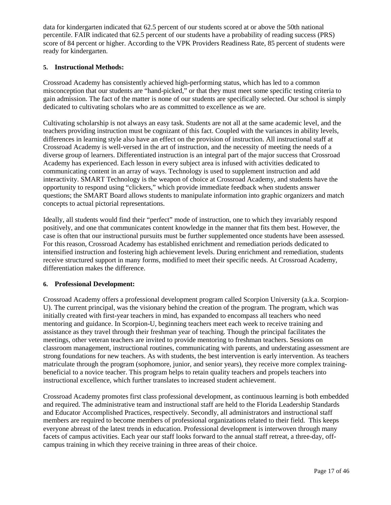data for kindergarten indicated that 62.5 percent of our students scored at or above the 50th national percentile. FAIR indicated that 62.5 percent of our students have a probability of reading success (PRS) score of 84 percent or higher. According to the VPK Providers Readiness Rate, 85 percent of students were ready for kindergarten.

#### **5. Instructional Methods:**

Crossroad Academy has consistently achieved high-performing status, which has led to a common misconception that our students are "hand-picked," or that they must meet some specific testing criteria to gain admission. The fact of the matter is none of our students are specifically selected. Our school is simply dedicated to cultivating scholars who are as committed to excellence as we are.

Cultivating scholarship is not always an easy task. Students are not all at the same academic level, and the teachers providing instruction must be cognizant of this fact. Coupled with the variances in ability levels, differences in learning style also have an effect on the provision of instruction. All instructional staff at Crossroad Academy is well-versed in the art of instruction, and the necessity of meeting the needs of a diverse group of learners. Differentiated instruction is an integral part of the major success that Crossroad Academy has experienced. Each lesson in every subject area is infused with activities dedicated to communicating content in an array of ways. Technology is used to supplement instruction and add interactivity. SMART Technology is the weapon of choice at Crossroad Academy, and students have the opportunity to respond using "clickers," which provide immediate feedback when students answer questions; the SMART Board allows students to manipulate information into graphic organizers and match concepts to actual pictorial representations.

Ideally, all students would find their "perfect" mode of instruction, one to which they invariably respond positively, and one that communicates content knowledge in the manner that fits them best. However, the case is often that our instructional pursuits must be further supplemented once students have been assessed. For this reason, Crossroad Academy has established enrichment and remediation periods dedicated to intensified instruction and fostering high achievement levels. During enrichment and remediation, students receive structured support in many forms, modified to meet their specific needs. At Crossroad Academy, differentiation makes the difference.

#### **6. Professional Development:**

Crossroad Academy offers a professional development program called Scorpion University (a.k.a. Scorpion-U). The current principal, was the visionary behind the creation of the program. The program, which was initially created with first-year teachers in mind, has expanded to encompass all teachers who need mentoring and guidance. In Scorpion-U, beginning teachers meet each week to receive training and assistance as they travel through their freshman year of teaching. Though the principal facilitates the meetings, other veteran teachers are invited to provide mentoring to freshman teachers. Sessions on classroom management, instructional routines, communicating with parents, and understating assessment are strong foundations for new teachers. As with students, the best intervention is early intervention. As teachers matriculate through the program (sophomore, junior, and senior years), they receive more complex trainingbeneficial to a novice teacher. This program helps to retain quality teachers and propels teachers into instructional excellence, which further translates to increased student achievement.

Crossroad Academy promotes first class professional development, as continuous learning is both embedded and required. The administrative team and instructional staff are held to the Florida Leadership Standards and Educator Accomplished Practices, respectively. Secondly, all administrators and instructional staff members are required to become members of professional organizations related to their field. This keeps everyone abreast of the latest trends in education. Professional development is interwoven through many facets of campus activities. Each year our staff looks forward to the annual staff retreat, a three-day, offcampus training in which they receive training in three areas of their choice.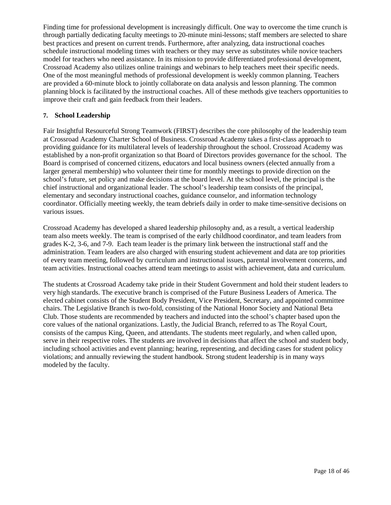Finding time for professional development is increasingly difficult. One way to overcome the time crunch is through partially dedicating faculty meetings to 20-minute mini-lessons; staff members are selected to share best practices and present on current trends. Furthermore, after analyzing, data instructional coaches schedule instructional modeling times with teachers or they may serve as substitutes while novice teachers model for teachers who need assistance. In its mission to provide differentiated professional development, Crossroad Academy also utilizes online trainings and webinars to help teachers meet their specific needs. One of the most meaningful methods of professional development is weekly common planning. Teachers are provided a 60-minute block to jointly collaborate on data analysis and lesson planning. The common planning block is facilitated by the instructional coaches. All of these methods give teachers opportunities to improve their craft and gain feedback from their leaders.

#### **7. School Leadership**

Fair Insightful Resourceful Strong Teamwork (FIRST) describes the core philosophy of the leadership team at Crossroad Academy Charter School of Business. Crossroad Academy takes a first-class approach to providing guidance for its multilateral levels of leadership throughout the school. Crossroad Academy was established by a non-profit organization so that Board of Directors provides governance for the school. The Board is comprised of concerned citizens, educators and local business owners (elected annually from a larger general membership) who volunteer their time for monthly meetings to provide direction on the school's future, set policy and make decisions at the board level. At the school level, the principal is the chief instructional and organizational leader. The school's leadership team consists of the principal, elementary and secondary instructional coaches, guidance counselor, and information technology coordinator. Officially meeting weekly, the team debriefs daily in order to make time-sensitive decisions on various issues.

Crossroad Academy has developed a shared leadership philosophy and, as a result, a vertical leadership team also meets weekly. The team is comprised of the early childhood coordinator, and team leaders from grades K-2, 3-6, and 7-9. Each team leader is the primary link between the instructional staff and the administration. Team leaders are also charged with ensuring student achievement and data are top priorities of every team meeting, followed by curriculum and instructional issues, parental involvement concerns, and team activities. Instructional coaches attend team meetings to assist with achievement, data and curriculum.

The students at Crossroad Academy take pride in their Student Government and hold their student leaders to very high standards. The executive branch is comprised of the Future Business Leaders of America. The elected cabinet consists of the Student Body President, Vice President, Secretary, and appointed committee chairs. The Legislative Branch is two-fold, consisting of the National Honor Society and National Beta Club. Those students are recommended by teachers and inducted into the school's chapter based upon the core values of the national organizations. Lastly, the Judicial Branch, referred to as The Royal Court, consists of the campus King, Queen, and attendants. The students meet regularly, and when called upon, serve in their respective roles. The students are involved in decisions that affect the school and student body, including school activities and event planning; hearing, representing, and deciding cases for student policy violations; and annually reviewing the student handbook. Strong student leadership is in many ways modeled by the faculty.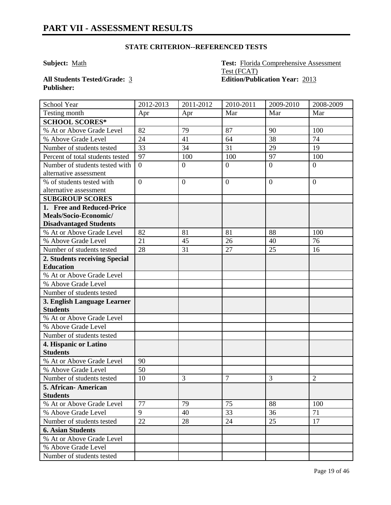**Subject:** Math **Test:** Florida Comprehensive Assessment Test (FCAT) **All Students Tested/Grade:** 3 **Edition/Publication Year:** 2013

**Publisher:** 

| <b>School Year</b>               | 2012-2013      | 2011-2012      | 2010-2011      | 2009-2010      | 2008-2009      |
|----------------------------------|----------------|----------------|----------------|----------------|----------------|
| Testing month                    | Apr            | Apr            | Mar            | Mar            | Mar            |
| <b>SCHOOL SCORES*</b>            |                |                |                |                |                |
| % At or Above Grade Level        | 82             | 79             | 87             | 90             | 100            |
| % Above Grade Level              | 24             | 41             | 64             | 38             | 74             |
| Number of students tested        | 33             | 34             | 31             | 29             | 19             |
| Percent of total students tested | 97             | 100            | 100            | 97             | 100            |
| Number of students tested with   | $\overline{0}$ | $\overline{0}$ | $\overline{0}$ | $\overline{0}$ | $\overline{0}$ |
| alternative assessment           |                |                |                |                |                |
| % of students tested with        | $\overline{0}$ | $\overline{0}$ | $\overline{0}$ | $\theta$       | $\overline{0}$ |
| alternative assessment           |                |                |                |                |                |
| <b>SUBGROUP SCORES</b>           |                |                |                |                |                |
| 1. Free and Reduced-Price        |                |                |                |                |                |
| Meals/Socio-Economic/            |                |                |                |                |                |
| <b>Disadvantaged Students</b>    |                |                |                |                |                |
| % At or Above Grade Level        | 82             | 81             | 81             | 88             | 100            |
| % Above Grade Level              | 21             | 45             | 26             | 40             | 76             |
| Number of students tested        | 28             | 31             | 27             | 25             | 16             |
| 2. Students receiving Special    |                |                |                |                |                |
| <b>Education</b>                 |                |                |                |                |                |
| % At or Above Grade Level        |                |                |                |                |                |
| % Above Grade Level              |                |                |                |                |                |
| Number of students tested        |                |                |                |                |                |
| 3. English Language Learner      |                |                |                |                |                |
| <b>Students</b>                  |                |                |                |                |                |
| % At or Above Grade Level        |                |                |                |                |                |
| % Above Grade Level              |                |                |                |                |                |
| Number of students tested        |                |                |                |                |                |
| 4. Hispanic or Latino            |                |                |                |                |                |
| <b>Students</b>                  |                |                |                |                |                |
| % At or Above Grade Level        | 90             |                |                |                |                |
| % Above Grade Level              | 50             |                |                |                |                |
| Number of students tested        | 10             | 3              | $\overline{7}$ | 3              | $\overline{2}$ |
| 5. African- American             |                |                |                |                |                |
| <b>Students</b>                  |                |                |                |                |                |
| % At or Above Grade Level        | 77             | 79             | 75             | 88             | 100            |
| % Above Grade Level              | 9              | 40             | 33             | 36             | 71             |
| Number of students tested        | 22             | 28             | 24             | 25             | 17             |
| <b>6. Asian Students</b>         |                |                |                |                |                |
| % At or Above Grade Level        |                |                |                |                |                |
| % Above Grade Level              |                |                |                |                |                |
| Number of students tested        |                |                |                |                |                |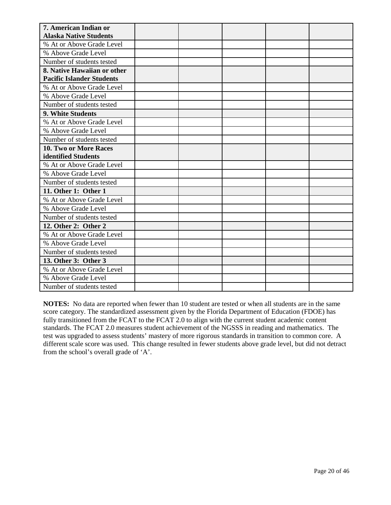| 7. American Indian or<br><b>Alaska Native Students</b>          |  |  |  |
|-----------------------------------------------------------------|--|--|--|
| % At or Above Grade Level                                       |  |  |  |
|                                                                 |  |  |  |
| % Above Grade Level                                             |  |  |  |
| Number of students tested                                       |  |  |  |
| 8. Native Hawaiian or other<br><b>Pacific Islander Students</b> |  |  |  |
| % At or Above Grade Level                                       |  |  |  |
| % Above Grade Level                                             |  |  |  |
| Number of students tested                                       |  |  |  |
| 9. White Students                                               |  |  |  |
| % At or Above Grade Level                                       |  |  |  |
| % Above Grade Level                                             |  |  |  |
| Number of students tested                                       |  |  |  |
| <b>10. Two or More Races</b>                                    |  |  |  |
| identified Students                                             |  |  |  |
| % At or Above Grade Level                                       |  |  |  |
| % Above Grade Level                                             |  |  |  |
| Number of students tested                                       |  |  |  |
| 11. Other 1: Other 1                                            |  |  |  |
| % At or Above Grade Level                                       |  |  |  |
| % Above Grade Level                                             |  |  |  |
| Number of students tested                                       |  |  |  |
| 12. Other 2: Other 2                                            |  |  |  |
| % At or Above Grade Level                                       |  |  |  |
| % Above Grade Level                                             |  |  |  |
| Number of students tested                                       |  |  |  |
| 13. Other 3: Other 3                                            |  |  |  |
| % At or Above Grade Level                                       |  |  |  |
| % Above Grade Level                                             |  |  |  |
| Number of students tested                                       |  |  |  |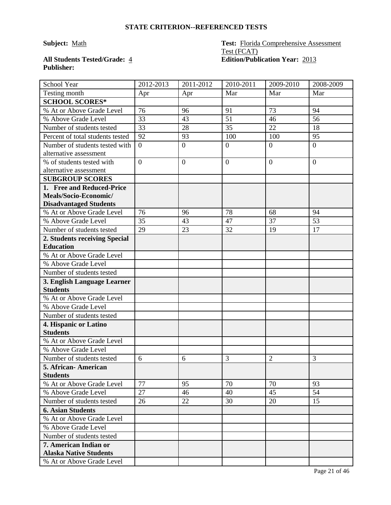# **Publisher:**

#### **Subject:** Math **Test:** Florida Comprehensive Assessment Test (FCAT) **All Students Tested/Grade:** 4 **Edition/Publication Year:** 2013

| School Year                                              | 2012-2013      | 2011-2012      | 2010-2011      | 2009-2010      | 2008-2009      |
|----------------------------------------------------------|----------------|----------------|----------------|----------------|----------------|
| Testing month                                            | Apr            | Apr            | Mar            | Mar            | Mar            |
| <b>SCHOOL SCORES*</b>                                    |                |                |                |                |                |
| % At or Above Grade Level                                | 76             | 96             | 91             | 73             | 94             |
| % Above Grade Level                                      | 33             | 43             | 51             | 46             | 56             |
| Number of students tested                                | 33             | 28             | 35             | 22             | 18             |
| Percent of total students tested                         | 92             | 93             | 100            | 100            | 95             |
| Number of students tested with<br>alternative assessment | $\overline{0}$ | $\overline{0}$ | $\overline{0}$ | $\overline{0}$ | $\overline{0}$ |
| % of students tested with                                | $\overline{0}$ | $\overline{0}$ | $\overline{0}$ | $\overline{0}$ | $\theta$       |
| alternative assessment                                   |                |                |                |                |                |
| <b>SUBGROUP SCORES</b>                                   |                |                |                |                |                |
| 1. Free and Reduced-Price                                |                |                |                |                |                |
| Meals/Socio-Economic/                                    |                |                |                |                |                |
| <b>Disadvantaged Students</b>                            |                |                |                |                |                |
| % At or Above Grade Level                                | 76             | 96             | 78             | 68             | 94             |
| % Above Grade Level                                      | 35             | 43             | 47             | 37             | 53             |
| Number of students tested                                | 29             | 23             | 32             | 19             | 17             |
| 2. Students receiving Special                            |                |                |                |                |                |
| <b>Education</b>                                         |                |                |                |                |                |
| % At or Above Grade Level                                |                |                |                |                |                |
| % Above Grade Level                                      |                |                |                |                |                |
| Number of students tested                                |                |                |                |                |                |
| 3. English Language Learner                              |                |                |                |                |                |
| <b>Students</b>                                          |                |                |                |                |                |
| % At or Above Grade Level                                |                |                |                |                |                |
| % Above Grade Level                                      |                |                |                |                |                |
| Number of students tested                                |                |                |                |                |                |
| 4. Hispanic or Latino                                    |                |                |                |                |                |
| <b>Students</b>                                          |                |                |                |                |                |
| % At or Above Grade Level                                |                |                |                |                |                |
| % Above Grade Level                                      |                |                |                |                |                |
| Number of students tested                                | 6              | 6              | 3              | $\overline{2}$ | 3              |
| 5. African-American                                      |                |                |                |                |                |
| <b>Students</b><br>% At or Above Grade Level             | 77             | 95             | 70             | 70             | 93             |
| % Above Grade Level                                      | 27             | 46             | 40             | 45             | 54             |
| Number of students tested                                | 26             | 22             | 30             | 20             | 15             |
| <b>6. Asian Students</b>                                 |                |                |                |                |                |
| % At or Above Grade Level                                |                |                |                |                |                |
| % Above Grade Level                                      |                |                |                |                |                |
|                                                          |                |                |                |                |                |
| Number of students tested<br>7. American Indian or       |                |                |                |                |                |
| <b>Alaska Native Students</b>                            |                |                |                |                |                |
| % At or Above Grade Level                                |                |                |                |                |                |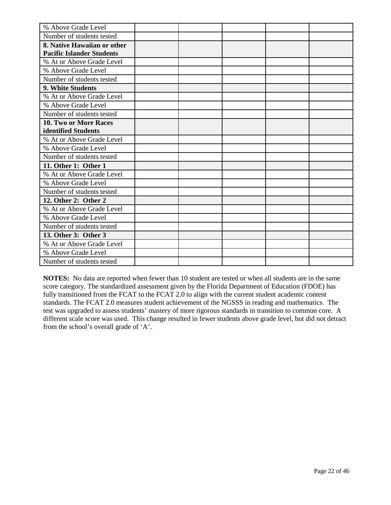| % Above Grade Level              |  |  |  |
|----------------------------------|--|--|--|
| Number of students tested        |  |  |  |
| 8. Native Hawaiian or other      |  |  |  |
| <b>Pacific Islander Students</b> |  |  |  |
| % At or Above Grade Level        |  |  |  |
| % Above Grade Level              |  |  |  |
| Number of students tested        |  |  |  |
| 9. White Students                |  |  |  |
| % At or Above Grade Level        |  |  |  |
| % Above Grade Level              |  |  |  |
| Number of students tested        |  |  |  |
| 10. Two or More Races            |  |  |  |
| identified Students              |  |  |  |
| % At or Above Grade Level        |  |  |  |
| % Above Grade Level              |  |  |  |
| Number of students tested        |  |  |  |
| 11. Other 1: Other 1             |  |  |  |
| % At or Above Grade Level        |  |  |  |
| % Above Grade Level              |  |  |  |
| Number of students tested        |  |  |  |
| 12. Other 2: Other 2             |  |  |  |
| % At or Above Grade Level        |  |  |  |
| % Above Grade Level              |  |  |  |
| Number of students tested        |  |  |  |
| 13. Other 3: Other 3             |  |  |  |
| % At or Above Grade Level        |  |  |  |
| % Above Grade Level              |  |  |  |
| Number of students tested        |  |  |  |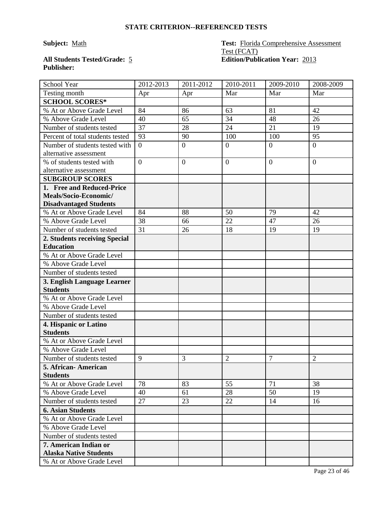# **Publisher:**

#### **Subject:** Math **Test:** Florida Comprehensive Assessment Test (FCAT) **All Students Tested/Grade:** 5 **Edition/Publication Year:** 2013

| School Year                      | 2012-2013      | 2011-2012        | 2010-2011      | 2009-2010        | 2008-2009      |
|----------------------------------|----------------|------------------|----------------|------------------|----------------|
| Testing month                    | Apr            | Apr              | Mar            | Mar              | Mar            |
| <b>SCHOOL SCORES*</b>            |                |                  |                |                  |                |
| % At or Above Grade Level        | 84             | 86               | 63             | 81               | 42             |
| % Above Grade Level              | 40             | 65               | 34             | 48               | 26             |
| Number of students tested        | 37             | 28               | 24             | 21               | 19             |
| Percent of total students tested | 93             | 90               | 100            | 100              | 95             |
| Number of students tested with   | $\overline{0}$ | $\boldsymbol{0}$ | $\overline{0}$ | $\boldsymbol{0}$ | $\overline{0}$ |
| alternative assessment           |                |                  |                |                  |                |
| % of students tested with        | $\overline{0}$ | $\overline{0}$   | $\overline{0}$ | $\overline{0}$   | $\overline{0}$ |
| alternative assessment           |                |                  |                |                  |                |
| <b>SUBGROUP SCORES</b>           |                |                  |                |                  |                |
| 1. Free and Reduced-Price        |                |                  |                |                  |                |
| Meals/Socio-Economic/            |                |                  |                |                  |                |
| <b>Disadvantaged Students</b>    |                |                  |                |                  |                |
| % At or Above Grade Level        | 84             | 88               | 50             | 79               | 42             |
| % Above Grade Level              | 38             | 66               | 22             | 47               | 26             |
| Number of students tested        | 31             | 26               | 18             | 19               | 19             |
| 2. Students receiving Special    |                |                  |                |                  |                |
| <b>Education</b>                 |                |                  |                |                  |                |
| % At or Above Grade Level        |                |                  |                |                  |                |
| % Above Grade Level              |                |                  |                |                  |                |
| Number of students tested        |                |                  |                |                  |                |
| 3. English Language Learner      |                |                  |                |                  |                |
| <b>Students</b>                  |                |                  |                |                  |                |
| % At or Above Grade Level        |                |                  |                |                  |                |
| % Above Grade Level              |                |                  |                |                  |                |
| Number of students tested        |                |                  |                |                  |                |
| 4. Hispanic or Latino            |                |                  |                |                  |                |
| <b>Students</b>                  |                |                  |                |                  |                |
| % At or Above Grade Level        |                |                  |                |                  |                |
| % Above Grade Level              |                |                  |                |                  |                |
| Number of students tested        | 9              | 3                | $\overline{2}$ | $\overline{7}$   | $\overline{2}$ |
| 5. African- American             |                |                  |                |                  |                |
| <b>Students</b>                  |                |                  |                |                  |                |
| % At or Above Grade Level        | 78             | 83               | 55             | 71               | 38             |
| % Above Grade Level              | 40             | 61               | 28             | 50               | 19             |
| Number of students tested        | 27             | 23               | 22             | 14               | 16             |
| <b>6. Asian Students</b>         |                |                  |                |                  |                |
| % At or Above Grade Level        |                |                  |                |                  |                |
| % Above Grade Level              |                |                  |                |                  |                |
| Number of students tested        |                |                  |                |                  |                |
| 7. American Indian or            |                |                  |                |                  |                |
| <b>Alaska Native Students</b>    |                |                  |                |                  |                |
| % At or Above Grade Level        |                |                  |                |                  |                |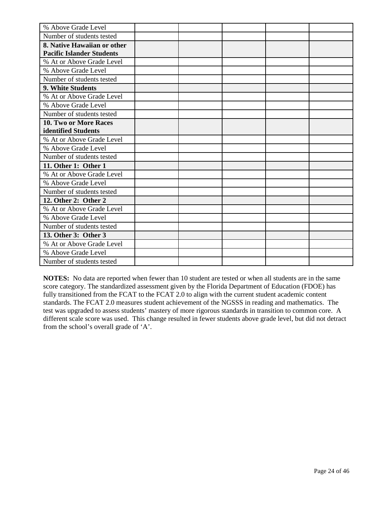| % Above Grade Level              |  |  |  |
|----------------------------------|--|--|--|
| Number of students tested        |  |  |  |
| 8. Native Hawaiian or other      |  |  |  |
| <b>Pacific Islander Students</b> |  |  |  |
| % At or Above Grade Level        |  |  |  |
| % Above Grade Level              |  |  |  |
| Number of students tested        |  |  |  |
| 9. White Students                |  |  |  |
| % At or Above Grade Level        |  |  |  |
| % Above Grade Level              |  |  |  |
| Number of students tested        |  |  |  |
| 10. Two or More Races            |  |  |  |
| identified Students              |  |  |  |
| % At or Above Grade Level        |  |  |  |
| % Above Grade Level              |  |  |  |
| Number of students tested        |  |  |  |
| 11. Other 1: Other 1             |  |  |  |
| % At or Above Grade Level        |  |  |  |
| % Above Grade Level              |  |  |  |
| Number of students tested        |  |  |  |
| 12. Other 2: Other 2             |  |  |  |
| % At or Above Grade Level        |  |  |  |
| % Above Grade Level              |  |  |  |
| Number of students tested        |  |  |  |
| 13. Other 3: Other 3             |  |  |  |
| % At or Above Grade Level        |  |  |  |
| % Above Grade Level              |  |  |  |
| Number of students tested        |  |  |  |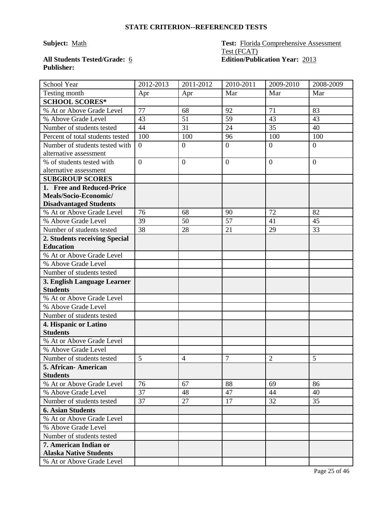## **Publisher:**

#### **Subject:** Math **Test:** Florida Comprehensive Assessment Test (FCAT) **All Students Tested/Grade:** 6 **Edition/Publication Year:** 2013

| School Year                      | 2012-2013        | 2011-2012        | 2010-2011        | 2009-2010      | 2008-2009        |
|----------------------------------|------------------|------------------|------------------|----------------|------------------|
| Testing month                    | Apr              | Apr              | Mar              | Mar            | Mar              |
| <b>SCHOOL SCORES*</b>            |                  |                  |                  |                |                  |
| % At or Above Grade Level        | 77               | 68               | 92               | 71             | 83               |
| % Above Grade Level              | 43               | 51               | 59               | 43             | 43               |
| Number of students tested        | 44               | 31               | 24               | 35             | 40               |
| Percent of total students tested | 100              | 100              | 96               | 100            | 100              |
| Number of students tested with   | $\boldsymbol{0}$ | $\boldsymbol{0}$ | $\boldsymbol{0}$ | $\overline{0}$ | $\boldsymbol{0}$ |
| alternative assessment           |                  |                  |                  |                |                  |
| % of students tested with        | $\overline{0}$   | $\overline{0}$   | $\mathbf{0}$     | $\overline{0}$ | $\overline{0}$   |
| alternative assessment           |                  |                  |                  |                |                  |
| <b>SUBGROUP SCORES</b>           |                  |                  |                  |                |                  |
| 1. Free and Reduced-Price        |                  |                  |                  |                |                  |
| Meals/Socio-Economic/            |                  |                  |                  |                |                  |
| <b>Disadvantaged Students</b>    |                  |                  |                  |                |                  |
| % At or Above Grade Level        | 76               | 68               | 90               | 72             | 82               |
| % Above Grade Level              | 39               | 50               | $\overline{57}$  | 41             | 45               |
| Number of students tested        | 38               | 28               | 21               | 29             | 33               |
| 2. Students receiving Special    |                  |                  |                  |                |                  |
| <b>Education</b>                 |                  |                  |                  |                |                  |
| % At or Above Grade Level        |                  |                  |                  |                |                  |
| % Above Grade Level              |                  |                  |                  |                |                  |
| Number of students tested        |                  |                  |                  |                |                  |
| 3. English Language Learner      |                  |                  |                  |                |                  |
| <b>Students</b>                  |                  |                  |                  |                |                  |
| % At or Above Grade Level        |                  |                  |                  |                |                  |
| % Above Grade Level              |                  |                  |                  |                |                  |
| Number of students tested        |                  |                  |                  |                |                  |
| 4. Hispanic or Latino            |                  |                  |                  |                |                  |
| <b>Students</b>                  |                  |                  |                  |                |                  |
| % At or Above Grade Level        |                  |                  |                  |                |                  |
| % Above Grade Level              |                  |                  |                  |                |                  |
| Number of students tested        | 5                | 4                | $\overline{7}$   | $\overline{2}$ | 5                |
| 5. African- American             |                  |                  |                  |                |                  |
| <b>Students</b>                  |                  |                  |                  |                |                  |
| % At or Above Grade Level        | 76               | 67               | 88               | 69             | 86               |
| % Above Grade Level              | 37               | 48               | 47               | 44             | 40               |
| Number of students tested        | 37               | 27               | 17               | 32             | 35               |
| <b>6. Asian Students</b>         |                  |                  |                  |                |                  |
| % At or Above Grade Level        |                  |                  |                  |                |                  |
| % Above Grade Level              |                  |                  |                  |                |                  |
| Number of students tested        |                  |                  |                  |                |                  |
| 7. American Indian or            |                  |                  |                  |                |                  |
| <b>Alaska Native Students</b>    |                  |                  |                  |                |                  |
| % At or Above Grade Level        |                  |                  |                  |                |                  |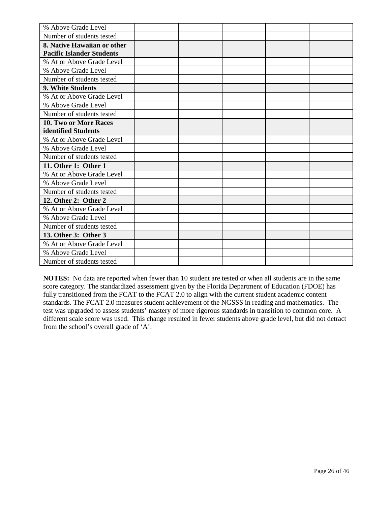| % Above Grade Level              |  |  |  |
|----------------------------------|--|--|--|
| Number of students tested        |  |  |  |
| 8. Native Hawaiian or other      |  |  |  |
| <b>Pacific Islander Students</b> |  |  |  |
| % At or Above Grade Level        |  |  |  |
| % Above Grade Level              |  |  |  |
| Number of students tested        |  |  |  |
| 9. White Students                |  |  |  |
| % At or Above Grade Level        |  |  |  |
| % Above Grade Level              |  |  |  |
| Number of students tested        |  |  |  |
| 10. Two or More Races            |  |  |  |
| identified Students              |  |  |  |
| % At or Above Grade Level        |  |  |  |
| % Above Grade Level              |  |  |  |
| Number of students tested        |  |  |  |
| 11. Other 1: Other 1             |  |  |  |
| % At or Above Grade Level        |  |  |  |
| % Above Grade Level              |  |  |  |
| Number of students tested        |  |  |  |
| 12. Other 2: Other 2             |  |  |  |
| % At or Above Grade Level        |  |  |  |
| % Above Grade Level              |  |  |  |
| Number of students tested        |  |  |  |
| 13. Other 3: Other 3             |  |  |  |
| % At or Above Grade Level        |  |  |  |
| % Above Grade Level              |  |  |  |
| Number of students tested        |  |  |  |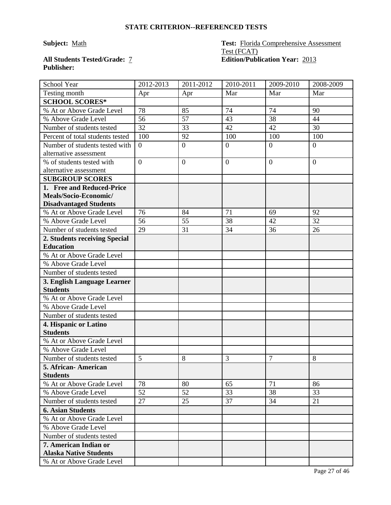# **Publisher:**

#### **Subject:** Math **Test:** Florida Comprehensive Assessment Test (FCAT) **All Students Tested/Grade:** 7 **Edition/Publication Year:** 2013

| School Year                                              | 2012-2013      | 2011-2012      | 2010-2011      | 2009-2010      | 2008-2009      |
|----------------------------------------------------------|----------------|----------------|----------------|----------------|----------------|
| Testing month                                            | Apr            | Apr            | Mar            | Mar            | Mar            |
| <b>SCHOOL SCORES*</b>                                    |                |                |                |                |                |
| % At or Above Grade Level                                | 78             | 85             | 74             | 74             | 90             |
| % Above Grade Level                                      | 56             | 57             | 43             | 38             | 44             |
| Number of students tested                                | 32             | 33             | 42             | 42             | 30             |
| Percent of total students tested                         | 100            | 92             | 100            | 100            | 100            |
| Number of students tested with<br>alternative assessment | $\overline{0}$ | $\overline{0}$ | $\overline{0}$ | $\overline{0}$ | $\overline{0}$ |
| % of students tested with                                | $\overline{0}$ | $\overline{0}$ | $\overline{0}$ | $\overline{0}$ | $\theta$       |
| alternative assessment                                   |                |                |                |                |                |
| <b>SUBGROUP SCORES</b>                                   |                |                |                |                |                |
| 1. Free and Reduced-Price                                |                |                |                |                |                |
| Meals/Socio-Economic/                                    |                |                |                |                |                |
| <b>Disadvantaged Students</b>                            |                |                |                |                |                |
| % At or Above Grade Level                                | 76             | 84             | 71             | 69             | 92             |
| % Above Grade Level                                      | 56             | 55             | 38             | 42             | 32             |
| Number of students tested                                | 29             | 31             | 34             | 36             | 26             |
| 2. Students receiving Special                            |                |                |                |                |                |
| <b>Education</b>                                         |                |                |                |                |                |
| % At or Above Grade Level                                |                |                |                |                |                |
| % Above Grade Level                                      |                |                |                |                |                |
| Number of students tested                                |                |                |                |                |                |
| 3. English Language Learner                              |                |                |                |                |                |
| <b>Students</b>                                          |                |                |                |                |                |
| % At or Above Grade Level                                |                |                |                |                |                |
| % Above Grade Level                                      |                |                |                |                |                |
| Number of students tested                                |                |                |                |                |                |
| 4. Hispanic or Latino                                    |                |                |                |                |                |
| <b>Students</b>                                          |                |                |                |                |                |
| % At or Above Grade Level                                |                |                |                |                |                |
| % Above Grade Level                                      |                |                |                |                |                |
| Number of students tested                                | 5              | 8              | 3              | 7              | 8              |
| 5. African-American                                      |                |                |                |                |                |
| <b>Students</b><br>% At or Above Grade Level             | 78             | 80             | 65             | 71             | 86             |
| % Above Grade Level                                      | 52             | 52             | 33             | 38             | 33             |
| Number of students tested                                | 27             | 25             | 37             | 34             | 21             |
| <b>6. Asian Students</b>                                 |                |                |                |                |                |
| % At or Above Grade Level                                |                |                |                |                |                |
| % Above Grade Level                                      |                |                |                |                |                |
| Number of students tested                                |                |                |                |                |                |
| 7. American Indian or                                    |                |                |                |                |                |
| <b>Alaska Native Students</b>                            |                |                |                |                |                |
| % At or Above Grade Level                                |                |                |                |                |                |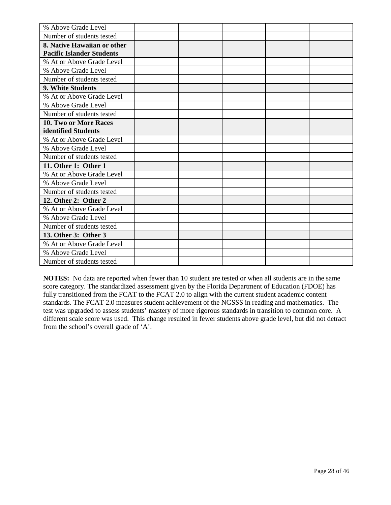| % Above Grade Level              |  |  |  |
|----------------------------------|--|--|--|
| Number of students tested        |  |  |  |
| 8. Native Hawaiian or other      |  |  |  |
| <b>Pacific Islander Students</b> |  |  |  |
| % At or Above Grade Level        |  |  |  |
| % Above Grade Level              |  |  |  |
| Number of students tested        |  |  |  |
| 9. White Students                |  |  |  |
| % At or Above Grade Level        |  |  |  |
| % Above Grade Level              |  |  |  |
| Number of students tested        |  |  |  |
| 10. Two or More Races            |  |  |  |
| identified Students              |  |  |  |
| % At or Above Grade Level        |  |  |  |
| % Above Grade Level              |  |  |  |
| Number of students tested        |  |  |  |
| 11. Other 1: Other 1             |  |  |  |
| % At or Above Grade Level        |  |  |  |
| % Above Grade Level              |  |  |  |
| Number of students tested        |  |  |  |
| 12. Other 2: Other 2             |  |  |  |
| % At or Above Grade Level        |  |  |  |
| % Above Grade Level              |  |  |  |
| Number of students tested        |  |  |  |
| 13. Other 3: Other 3             |  |  |  |
| % At or Above Grade Level        |  |  |  |
| % Above Grade Level              |  |  |  |
| Number of students tested        |  |  |  |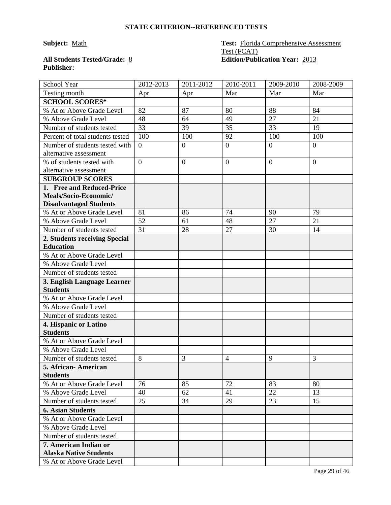## **Publisher:**

#### **Subject:** Math **Test:** Florida Comprehensive Assessment Test (FCAT) **All Students Tested/Grade:** 8 **Edition/Publication Year:** 2013

| School Year                      | 2012-2013      | 2011-2012        | 2010-2011      | 2009-2010      | 2008-2009      |
|----------------------------------|----------------|------------------|----------------|----------------|----------------|
| Testing month                    | Apr            | Apr              | Mar            | Mar            | Mar            |
| <b>SCHOOL SCORES*</b>            |                |                  |                |                |                |
| % At or Above Grade Level        | 82             | 87               | 80             | 88             | 84             |
| % Above Grade Level              | 48             | 64               | 49             | 27             | 21             |
| Number of students tested        | 33             | 39               | 35             | 33             | 19             |
| Percent of total students tested | 100            | 100              | 92             | 100            | 100            |
| Number of students tested with   | $\overline{0}$ | $\boldsymbol{0}$ | $\overline{0}$ | $\overline{0}$ | $\overline{0}$ |
| alternative assessment           |                |                  |                |                |                |
| % of students tested with        | $\overline{0}$ | $\overline{0}$   | $\overline{0}$ | $\overline{0}$ | $\overline{0}$ |
| alternative assessment           |                |                  |                |                |                |
| <b>SUBGROUP SCORES</b>           |                |                  |                |                |                |
| 1. Free and Reduced-Price        |                |                  |                |                |                |
| Meals/Socio-Economic/            |                |                  |                |                |                |
| <b>Disadvantaged Students</b>    |                |                  |                |                |                |
| % At or Above Grade Level        | 81             | 86               | 74             | 90             | 79             |
| % Above Grade Level              | 52             | 61               | 48             | 27             | 21             |
| Number of students tested        | 31             | 28               | 27             | 30             | 14             |
| 2. Students receiving Special    |                |                  |                |                |                |
| <b>Education</b>                 |                |                  |                |                |                |
| % At or Above Grade Level        |                |                  |                |                |                |
| % Above Grade Level              |                |                  |                |                |                |
| Number of students tested        |                |                  |                |                |                |
| 3. English Language Learner      |                |                  |                |                |                |
| <b>Students</b>                  |                |                  |                |                |                |
| % At or Above Grade Level        |                |                  |                |                |                |
| % Above Grade Level              |                |                  |                |                |                |
| Number of students tested        |                |                  |                |                |                |
| 4. Hispanic or Latino            |                |                  |                |                |                |
| <b>Students</b>                  |                |                  |                |                |                |
| % At or Above Grade Level        |                |                  |                |                |                |
| % Above Grade Level              |                |                  |                |                |                |
| Number of students tested        | 8              | 3                | $\overline{4}$ | 9              | 3              |
| 5. African-American              |                |                  |                |                |                |
| <b>Students</b>                  |                |                  |                |                |                |
| % At or Above Grade Level        | 76             | 85               | 72             | 83             | 80             |
| % Above Grade Level              | 40             | 62               | 41             | 22             | 13             |
| Number of students tested        | 25             | 34               | 29             | 23             | 15             |
| <b>6. Asian Students</b>         |                |                  |                |                |                |
| % At or Above Grade Level        |                |                  |                |                |                |
| % Above Grade Level              |                |                  |                |                |                |
| Number of students tested        |                |                  |                |                |                |
| 7. American Indian or            |                |                  |                |                |                |
| <b>Alaska Native Students</b>    |                |                  |                |                |                |
| % At or Above Grade Level        |                |                  |                |                |                |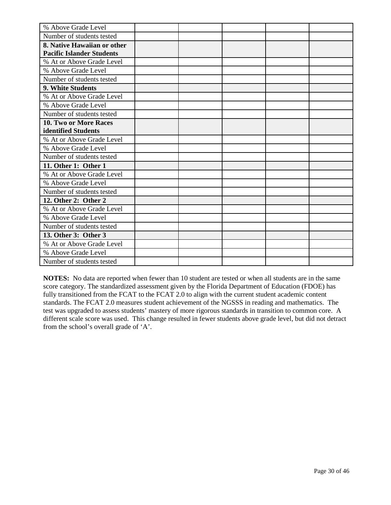| % Above Grade Level              |  |  |  |
|----------------------------------|--|--|--|
| Number of students tested        |  |  |  |
| 8. Native Hawaiian or other      |  |  |  |
| <b>Pacific Islander Students</b> |  |  |  |
| % At or Above Grade Level        |  |  |  |
| % Above Grade Level              |  |  |  |
| Number of students tested        |  |  |  |
| 9. White Students                |  |  |  |
| % At or Above Grade Level        |  |  |  |
| % Above Grade Level              |  |  |  |
| Number of students tested        |  |  |  |
| 10. Two or More Races            |  |  |  |
| identified Students              |  |  |  |
| % At or Above Grade Level        |  |  |  |
| % Above Grade Level              |  |  |  |
| Number of students tested        |  |  |  |
| 11. Other 1: Other 1             |  |  |  |
| % At or Above Grade Level        |  |  |  |
| % Above Grade Level              |  |  |  |
| Number of students tested        |  |  |  |
| 12. Other 2: Other 2             |  |  |  |
| % At or Above Grade Level        |  |  |  |
| % Above Grade Level              |  |  |  |
| Number of students tested        |  |  |  |
| 13. Other 3: Other 3             |  |  |  |
| % At or Above Grade Level        |  |  |  |
| % Above Grade Level              |  |  |  |
| Number of students tested        |  |  |  |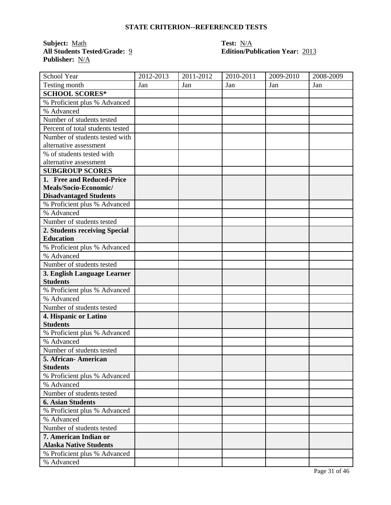**Subject:** <u>Math</u><br> **All Students Tested/Grade:** <u>9</u> **Call Students Tested/Grade:** 9 **Call Students Test Publisher:** N/A

### **Edition/Publication Year: 2013**

| School Year                      | 2012-2013 | $2011 - 2012$ | 2010-2011 | 2009-2010 | 2008-2009 |
|----------------------------------|-----------|---------------|-----------|-----------|-----------|
| Testing month                    | Jan       | Jan           | Jan       | Jan       | Jan       |
| <b>SCHOOL SCORES*</b>            |           |               |           |           |           |
| % Proficient plus % Advanced     |           |               |           |           |           |
| % Advanced                       |           |               |           |           |           |
| Number of students tested        |           |               |           |           |           |
| Percent of total students tested |           |               |           |           |           |
| Number of students tested with   |           |               |           |           |           |
| alternative assessment           |           |               |           |           |           |
| % of students tested with        |           |               |           |           |           |
| alternative assessment           |           |               |           |           |           |
| <b>SUBGROUP SCORES</b>           |           |               |           |           |           |
| 1. Free and Reduced-Price        |           |               |           |           |           |
| Meals/Socio-Economic/            |           |               |           |           |           |
| <b>Disadvantaged Students</b>    |           |               |           |           |           |
| % Proficient plus % Advanced     |           |               |           |           |           |
| % Advanced                       |           |               |           |           |           |
| Number of students tested        |           |               |           |           |           |
| 2. Students receiving Special    |           |               |           |           |           |
| <b>Education</b>                 |           |               |           |           |           |
| % Proficient plus % Advanced     |           |               |           |           |           |
| % Advanced                       |           |               |           |           |           |
| Number of students tested        |           |               |           |           |           |
| 3. English Language Learner      |           |               |           |           |           |
| <b>Students</b>                  |           |               |           |           |           |
| % Proficient plus % Advanced     |           |               |           |           |           |
| % Advanced                       |           |               |           |           |           |
| Number of students tested        |           |               |           |           |           |
| 4. Hispanic or Latino            |           |               |           |           |           |
| <b>Students</b>                  |           |               |           |           |           |
| % Proficient plus % Advanced     |           |               |           |           |           |
| % Advanced                       |           |               |           |           |           |
| Number of students tested        |           |               |           |           |           |
| 5. African- American             |           |               |           |           |           |
| <b>Students</b>                  |           |               |           |           |           |
| % Proficient plus % Advanced     |           |               |           |           |           |
| % Advanced                       |           |               |           |           |           |
| Number of students tested        |           |               |           |           |           |
| <b>6. Asian Students</b>         |           |               |           |           |           |
| % Proficient plus % Advanced     |           |               |           |           |           |
| % Advanced                       |           |               |           |           |           |
| Number of students tested        |           |               |           |           |           |
| 7. American Indian or            |           |               |           |           |           |
| <b>Alaska Native Students</b>    |           |               |           |           |           |
| % Proficient plus % Advanced     |           |               |           |           |           |
| % Advanced                       |           |               |           |           |           |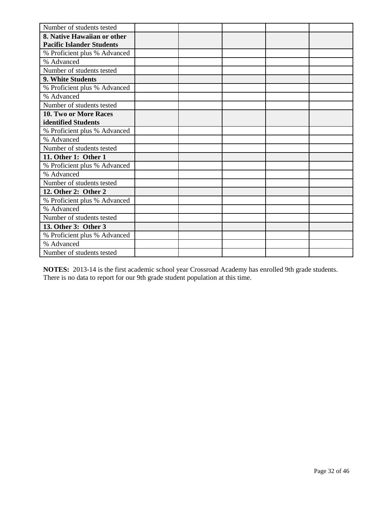| Number of students tested        |  |  |  |
|----------------------------------|--|--|--|
| 8. Native Hawaiian or other      |  |  |  |
| <b>Pacific Islander Students</b> |  |  |  |
| % Proficient plus % Advanced     |  |  |  |
| % Advanced                       |  |  |  |
| Number of students tested        |  |  |  |
| 9. White Students                |  |  |  |
| % Proficient plus % Advanced     |  |  |  |
| % Advanced                       |  |  |  |
| Number of students tested        |  |  |  |
| 10. Two or More Races            |  |  |  |
| identified Students              |  |  |  |
| % Proficient plus % Advanced     |  |  |  |
| % Advanced                       |  |  |  |
| Number of students tested        |  |  |  |
| 11. Other 1: Other 1             |  |  |  |
| % Proficient plus % Advanced     |  |  |  |
| % Advanced                       |  |  |  |
| Number of students tested        |  |  |  |
| 12. Other 2: Other 2             |  |  |  |
| % Proficient plus % Advanced     |  |  |  |
| % Advanced                       |  |  |  |
| Number of students tested        |  |  |  |
| 13. Other 3: Other 3             |  |  |  |
| % Proficient plus % Advanced     |  |  |  |
| % Advanced                       |  |  |  |
| Number of students tested        |  |  |  |

**NOTES:** 2013-14 is the first academic school year Crossroad Academy has enrolled 9th grade students. There is no data to report for our 9th grade student population at this time.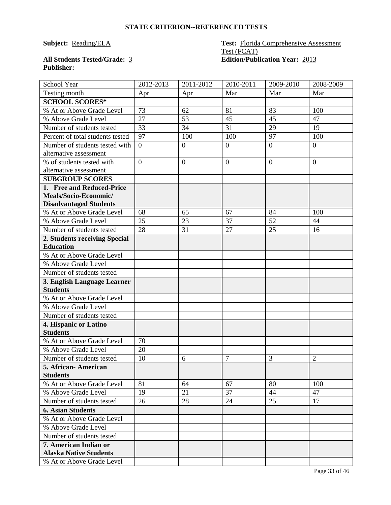#### **Subject:** Reading/ELA **Test:** Florida Comprehensive Assessment Test (FCAT) **All Students Tested/Grade:** 3 **Edition/Publication Year:** 2013

## **Publisher:**

| School Year                      | 2012-2013      | 2011-2012      | 2010-2011      | 2009-2010      | 2008-2009      |
|----------------------------------|----------------|----------------|----------------|----------------|----------------|
| Testing month                    | Apr            | Apr            | Mar            | Mar            | Mar            |
| <b>SCHOOL SCORES*</b>            |                |                |                |                |                |
| % At or Above Grade Level        | 73             | 62             | 81             | 83             | 100            |
| % Above Grade Level              | 27             | 53             | 45             | 45             | 47             |
| Number of students tested        | 33             | 34             | 31             | 29             | 19             |
| Percent of total students tested | 97             | 100            | 100            | 97             | 100            |
| Number of students tested with   | $\overline{0}$ | $\overline{0}$ | $\overline{0}$ | $\overline{0}$ | $\overline{0}$ |
| alternative assessment           |                |                |                |                |                |
| % of students tested with        | $\overline{0}$ | $\overline{0}$ | $\overline{0}$ | $\overline{0}$ | $\theta$       |
| alternative assessment           |                |                |                |                |                |
| <b>SUBGROUP SCORES</b>           |                |                |                |                |                |
| 1. Free and Reduced-Price        |                |                |                |                |                |
| Meals/Socio-Economic/            |                |                |                |                |                |
| <b>Disadvantaged Students</b>    |                |                |                |                |                |
| % At or Above Grade Level        | 68             | 65             | 67             | 84             | 100            |
| % Above Grade Level              | 25             | 23             | 37             | 52             | 44             |
| Number of students tested        | 28             | 31             | 27             | 25             | 16             |
| 2. Students receiving Special    |                |                |                |                |                |
| <b>Education</b>                 |                |                |                |                |                |
| % At or Above Grade Level        |                |                |                |                |                |
| % Above Grade Level              |                |                |                |                |                |
| Number of students tested        |                |                |                |                |                |
| 3. English Language Learner      |                |                |                |                |                |
| <b>Students</b>                  |                |                |                |                |                |
| % At or Above Grade Level        |                |                |                |                |                |
| % Above Grade Level              |                |                |                |                |                |
| Number of students tested        |                |                |                |                |                |
| 4. Hispanic or Latino            |                |                |                |                |                |
| <b>Students</b>                  |                |                |                |                |                |
| % At or Above Grade Level        | 70             |                |                |                |                |
| % Above Grade Level              | 20             |                |                |                |                |
| Number of students tested        | 10             | 6              | $\overline{7}$ | 3              | $\overline{2}$ |
| 5. African-American              |                |                |                |                |                |
| <b>Students</b>                  |                |                |                |                |                |
| % At or Above Grade Level        | 81             | 64             | 67             | 80             | 100            |
| % Above Grade Level              | 19             | 21             | 37             | 44             | 47             |
| Number of students tested        | 26             | 28             | 24             | 25             | 17             |
| <b>6. Asian Students</b>         |                |                |                |                |                |
| % At or Above Grade Level        |                |                |                |                |                |
| % Above Grade Level              |                |                |                |                |                |
| Number of students tested        |                |                |                |                |                |
| 7. American Indian or            |                |                |                |                |                |
| <b>Alaska Native Students</b>    |                |                |                |                |                |
| % At or Above Grade Level        |                |                |                |                |                |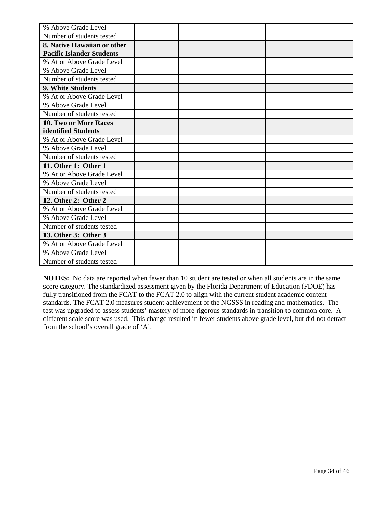| % Above Grade Level              |  |  |  |
|----------------------------------|--|--|--|
| Number of students tested        |  |  |  |
| 8. Native Hawaiian or other      |  |  |  |
| <b>Pacific Islander Students</b> |  |  |  |
| % At or Above Grade Level        |  |  |  |
| % Above Grade Level              |  |  |  |
| Number of students tested        |  |  |  |
| 9. White Students                |  |  |  |
| % At or Above Grade Level        |  |  |  |
| % Above Grade Level              |  |  |  |
| Number of students tested        |  |  |  |
| 10. Two or More Races            |  |  |  |
| identified Students              |  |  |  |
| % At or Above Grade Level        |  |  |  |
| % Above Grade Level              |  |  |  |
| Number of students tested        |  |  |  |
| 11. Other 1: Other 1             |  |  |  |
| % At or Above Grade Level        |  |  |  |
| % Above Grade Level              |  |  |  |
| Number of students tested        |  |  |  |
| 12. Other 2: Other 2             |  |  |  |
| % At or Above Grade Level        |  |  |  |
| % Above Grade Level              |  |  |  |
| Number of students tested        |  |  |  |
| 13. Other 3: Other 3             |  |  |  |
| % At or Above Grade Level        |  |  |  |
| % Above Grade Level              |  |  |  |
| Number of students tested        |  |  |  |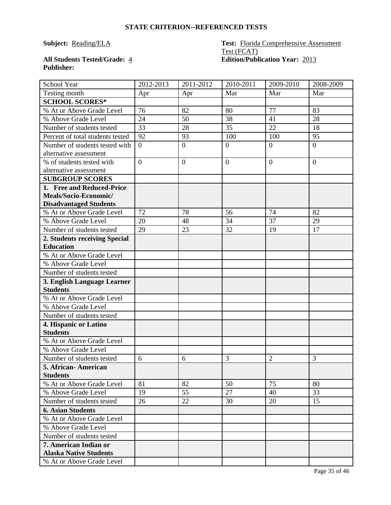#### **Subject:** Reading/ELA **Test:** Florida Comprehensive Assessment Test (FCAT) **All Students Tested/Grade:** 4 **Edition/Publication Year:** 2013

## **Publisher:**

| <b>School Year</b>                                    | 2012-2013      | $2011 - 2012$    | 2010-2011      | 2009-2010      | 2008-2009      |
|-------------------------------------------------------|----------------|------------------|----------------|----------------|----------------|
| Testing month                                         | Apr            | Apr              | Mar            | Mar            | Mar            |
| <b>SCHOOL SCORES*</b>                                 |                |                  |                |                |                |
| % At or Above Grade Level                             | 76             | 82               | 80             | 77             | 83             |
| % Above Grade Level                                   | 24             | 50               | 38             | 41             | 28             |
| Number of students tested                             | 33             | 28               | 35             | 22             | 18             |
| Percent of total students tested                      | 92             | 93               | 100            | 100            | 95             |
| Number of students tested with                        | $\theta$       | $\boldsymbol{0}$ | $\overline{0}$ | $\overline{0}$ | $\overline{0}$ |
| alternative assessment                                |                |                  |                |                |                |
| % of students tested with                             | $\overline{0}$ | $\overline{0}$   | $\mathbf{0}$   | $\overline{0}$ | $\overline{0}$ |
| alternative assessment                                |                |                  |                |                |                |
| <b>SUBGROUP SCORES</b>                                |                |                  |                |                |                |
| 1. Free and Reduced-Price                             |                |                  |                |                |                |
| Meals/Socio-Economic/                                 |                |                  |                |                |                |
| <b>Disadvantaged Students</b>                         |                |                  |                |                |                |
| % At or Above Grade Level                             | 72             | 78               | 56             | 74             | 82             |
| % Above Grade Level                                   | 20             | 48               | 34             | 37             | 29             |
| Number of students tested                             | 29             | 23               | 32             | 19             | 17             |
| 2. Students receiving Special                         |                |                  |                |                |                |
| <b>Education</b>                                      |                |                  |                |                |                |
| % At or Above Grade Level                             |                |                  |                |                |                |
| % Above Grade Level                                   |                |                  |                |                |                |
| Number of students tested                             |                |                  |                |                |                |
| 3. English Language Learner                           |                |                  |                |                |                |
| <b>Students</b>                                       |                |                  |                |                |                |
| % At or Above Grade Level                             |                |                  |                |                |                |
| % Above Grade Level                                   |                |                  |                |                |                |
| Number of students tested                             |                |                  |                |                |                |
| 4. Hispanic or Latino<br><b>Students</b>              |                |                  |                |                |                |
|                                                       |                |                  |                |                |                |
| % At or Above Grade Level                             |                |                  |                |                |                |
| % Above Grade Level                                   |                |                  |                |                |                |
| Number of students tested                             | 6              | 6                | 3              | $\overline{2}$ | 3              |
| 5. African-American<br><b>Students</b>                |                |                  |                |                |                |
| % At or Above Grade Level                             | 81             | 82               | 50             | 75             | 80             |
| % Above Grade Level                                   | 19             | 55               | 27             | 40             | 33             |
| Number of students tested                             | 26             | 22               | 30             | 20             | 15             |
|                                                       |                |                  |                |                |                |
| <b>6. Asian Students</b><br>% At or Above Grade Level |                |                  |                |                |                |
|                                                       |                |                  |                |                |                |
| % Above Grade Level                                   |                |                  |                |                |                |
| Number of students tested<br>7. American Indian or    |                |                  |                |                |                |
| <b>Alaska Native Students</b>                         |                |                  |                |                |                |
| % At or Above Grade Level                             |                |                  |                |                |                |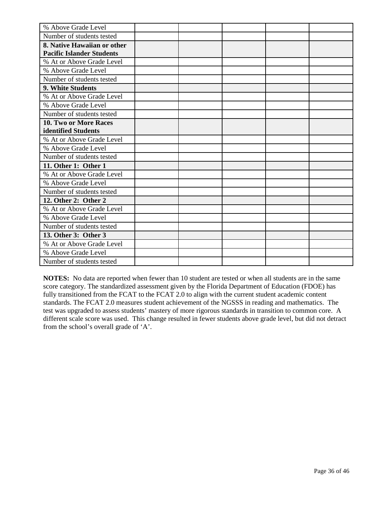| % Above Grade Level              |  |  |  |
|----------------------------------|--|--|--|
| Number of students tested        |  |  |  |
| 8. Native Hawaiian or other      |  |  |  |
| <b>Pacific Islander Students</b> |  |  |  |
| % At or Above Grade Level        |  |  |  |
| % Above Grade Level              |  |  |  |
| Number of students tested        |  |  |  |
| 9. White Students                |  |  |  |
| % At or Above Grade Level        |  |  |  |
| % Above Grade Level              |  |  |  |
| Number of students tested        |  |  |  |
| 10. Two or More Races            |  |  |  |
| identified Students              |  |  |  |
| % At or Above Grade Level        |  |  |  |
| % Above Grade Level              |  |  |  |
| Number of students tested        |  |  |  |
| 11. Other 1: Other 1             |  |  |  |
| % At or Above Grade Level        |  |  |  |
| % Above Grade Level              |  |  |  |
| Number of students tested        |  |  |  |
| 12. Other 2: Other 2             |  |  |  |
| % At or Above Grade Level        |  |  |  |
| % Above Grade Level              |  |  |  |
| Number of students tested        |  |  |  |
| 13. Other 3: Other 3             |  |  |  |
| % At or Above Grade Level        |  |  |  |
| % Above Grade Level              |  |  |  |
| Number of students tested        |  |  |  |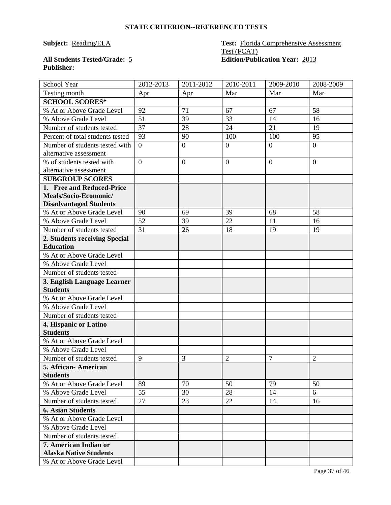#### **Subject:** Reading/ELA **Test:** Florida Comprehensive Assessment Test (FCAT) **All Students Tested/Grade:** 5 **Edition/Publication Year:** 2013

## **Publisher:**

| School Year                                                | 2012-2013      | 2011-2012      | 2010-2011      | 2009-2010      | 2008-2009      |
|------------------------------------------------------------|----------------|----------------|----------------|----------------|----------------|
| Testing month                                              | Apr            | Apr            | Mar            | Mar            | Mar            |
| <b>SCHOOL SCORES*</b>                                      |                |                |                |                |                |
| % At or Above Grade Level                                  | 92             | 71             | 67             | 67             | 58             |
| % Above Grade Level                                        | 51             | 39             | 33             | 14             | 16             |
| Number of students tested                                  | 37             | 28             | 24             | 21             | 19             |
| Percent of total students tested                           | 93             | 90             | 100            | 100            | 95             |
| Number of students tested with                             | $\overline{0}$ | $\overline{0}$ | $\overline{0}$ | $\overline{0}$ | $\overline{0}$ |
| alternative assessment                                     |                |                |                |                |                |
| % of students tested with                                  | $\overline{0}$ | $\overline{0}$ | $\mathbf{0}$   | $\overline{0}$ | $\theta$       |
| alternative assessment                                     |                |                |                |                |                |
| <b>SUBGROUP SCORES</b>                                     |                |                |                |                |                |
| 1. Free and Reduced-Price                                  |                |                |                |                |                |
| Meals/Socio-Economic/                                      |                |                |                |                |                |
| <b>Disadvantaged Students</b>                              |                |                |                |                |                |
| % At or Above Grade Level                                  | 90             | 69             | 39             | 68             | 58             |
| % Above Grade Level                                        | 52             | 39             | 22             | 11             | 16             |
| Number of students tested                                  | 31             | 26             | 18             | 19             | 19             |
| 2. Students receiving Special                              |                |                |                |                |                |
| <b>Education</b>                                           |                |                |                |                |                |
| % At or Above Grade Level                                  |                |                |                |                |                |
| % Above Grade Level                                        |                |                |                |                |                |
| Number of students tested                                  |                |                |                |                |                |
| 3. English Language Learner                                |                |                |                |                |                |
| <b>Students</b>                                            |                |                |                |                |                |
| % At or Above Grade Level                                  |                |                |                |                |                |
| % Above Grade Level                                        |                |                |                |                |                |
| Number of students tested                                  |                |                |                |                |                |
| 4. Hispanic or Latino                                      |                |                |                |                |                |
| <b>Students</b>                                            |                |                |                |                |                |
| % At or Above Grade Level                                  |                |                |                |                |                |
| % Above Grade Level                                        |                |                |                |                |                |
| Number of students tested                                  | 9              | 3              | $\overline{2}$ | $\overline{7}$ | $\overline{2}$ |
| 5. African-American                                        |                |                |                |                |                |
| <b>Students</b>                                            |                |                |                |                |                |
| % At or Above Grade Level                                  | 89             | 70             | 50             | 79             | 50             |
| % Above Grade Level                                        | 55             | 30             | 28             | 14             | 6              |
| Number of students tested                                  | 27             | 23             | 22             | 14             | 16             |
| <b>6. Asian Students</b>                                   |                |                |                |                |                |
| % At or Above Grade Level                                  |                |                |                |                |                |
| % Above Grade Level                                        |                |                |                |                |                |
| Number of students tested                                  |                |                |                |                |                |
| 7. American Indian or                                      |                |                |                |                |                |
|                                                            |                |                |                |                |                |
| <b>Alaska Native Students</b><br>% At or Above Grade Level |                |                |                |                |                |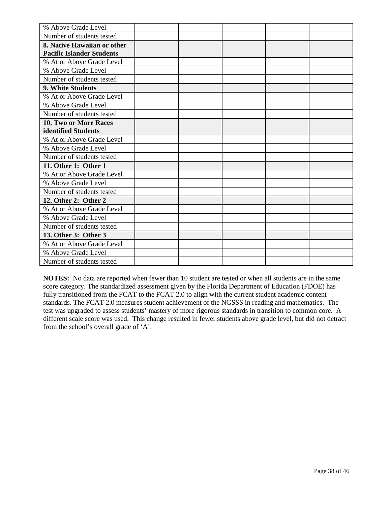| % Above Grade Level              |  |  |  |
|----------------------------------|--|--|--|
| Number of students tested        |  |  |  |
| 8. Native Hawaiian or other      |  |  |  |
| <b>Pacific Islander Students</b> |  |  |  |
| % At or Above Grade Level        |  |  |  |
| % Above Grade Level              |  |  |  |
| Number of students tested        |  |  |  |
| 9. White Students                |  |  |  |
| % At or Above Grade Level        |  |  |  |
| % Above Grade Level              |  |  |  |
| Number of students tested        |  |  |  |
| 10. Two or More Races            |  |  |  |
| identified Students              |  |  |  |
| % At or Above Grade Level        |  |  |  |
| % Above Grade Level              |  |  |  |
| Number of students tested        |  |  |  |
| 11. Other 1: Other 1             |  |  |  |
| % At or Above Grade Level        |  |  |  |
| % Above Grade Level              |  |  |  |
| Number of students tested        |  |  |  |
| 12. Other 2: Other 2             |  |  |  |
| % At or Above Grade Level        |  |  |  |
| % Above Grade Level              |  |  |  |
| Number of students tested        |  |  |  |
| 13. Other 3: Other 3             |  |  |  |
| % At or Above Grade Level        |  |  |  |
| % Above Grade Level              |  |  |  |
| Number of students tested        |  |  |  |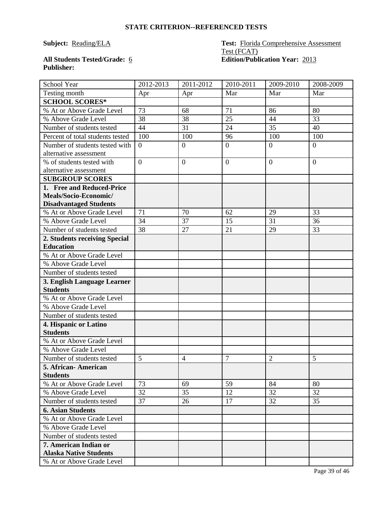#### **Subject:** Reading/ELA **Test:** Florida Comprehensive Assessment Test (FCAT) **All Students Tested/Grade:** 6 **Edition/Publication Year:** 2013

## **Publisher:**

| School Year                      | 2012-2013        | 2011-2012        | 2010-2011       | 2009-2010        | 2008-2009      |
|----------------------------------|------------------|------------------|-----------------|------------------|----------------|
| Testing month                    | Apr              | Apr              | Mar             | Mar              | Mar            |
| <b>SCHOOL SCORES*</b>            |                  |                  |                 |                  |                |
| % At or Above Grade Level        | 73               | 68               | 71              | 86               | 80             |
| % Above Grade Level              | 38               | 38               | $\overline{25}$ | 44               | 33             |
| Number of students tested        | 44               | 31               | 24              | 35               | 40             |
| Percent of total students tested | 100              | 100              | 96              | 100              | 100            |
| Number of students tested with   | $\overline{0}$   | $\overline{0}$   | $\overline{0}$  | $\overline{0}$   | $\overline{0}$ |
| alternative assessment           |                  |                  |                 |                  |                |
| % of students tested with        | $\boldsymbol{0}$ | $\boldsymbol{0}$ | $\overline{0}$  | $\boldsymbol{0}$ | $\overline{0}$ |
| alternative assessment           |                  |                  |                 |                  |                |
| <b>SUBGROUP SCORES</b>           |                  |                  |                 |                  |                |
| 1. Free and Reduced-Price        |                  |                  |                 |                  |                |
| Meals/Socio-Economic/            |                  |                  |                 |                  |                |
| <b>Disadvantaged Students</b>    |                  |                  |                 |                  |                |
| % At or Above Grade Level        | 71               | 70               | 62              | 29               | 33             |
| % Above Grade Level              | 34               | 37               | 15              | 31               | 36             |
| Number of students tested        | 38               | 27               | 21              | 29               | 33             |
| 2. Students receiving Special    |                  |                  |                 |                  |                |
| <b>Education</b>                 |                  |                  |                 |                  |                |
| % At or Above Grade Level        |                  |                  |                 |                  |                |
| % Above Grade Level              |                  |                  |                 |                  |                |
| Number of students tested        |                  |                  |                 |                  |                |
| 3. English Language Learner      |                  |                  |                 |                  |                |
| <b>Students</b>                  |                  |                  |                 |                  |                |
| % At or Above Grade Level        |                  |                  |                 |                  |                |
| % Above Grade Level              |                  |                  |                 |                  |                |
| Number of students tested        |                  |                  |                 |                  |                |
| 4. Hispanic or Latino            |                  |                  |                 |                  |                |
| <b>Students</b>                  |                  |                  |                 |                  |                |
| % At or Above Grade Level        |                  |                  |                 |                  |                |
| % Above Grade Level              |                  |                  |                 |                  |                |
| Number of students tested        | 5                | $\overline{4}$   | $\overline{7}$  | $\overline{2}$   | 5              |
| 5. African-American              |                  |                  |                 |                  |                |
| <b>Students</b>                  |                  |                  |                 |                  |                |
| % At or Above Grade Level        | 73               | 69               | 59              | 84               | 80             |
| % Above Grade Level              | 32               | 35               | 12              | 32               | 32             |
| Number of students tested        | 37               | 26               | 17              | 32               | 35             |
| <b>6. Asian Students</b>         |                  |                  |                 |                  |                |
| % At or Above Grade Level        |                  |                  |                 |                  |                |
| % Above Grade Level              |                  |                  |                 |                  |                |
| Number of students tested        |                  |                  |                 |                  |                |
| 7. American Indian or            |                  |                  |                 |                  |                |
| <b>Alaska Native Students</b>    |                  |                  |                 |                  |                |
| % At or Above Grade Level        |                  |                  |                 |                  |                |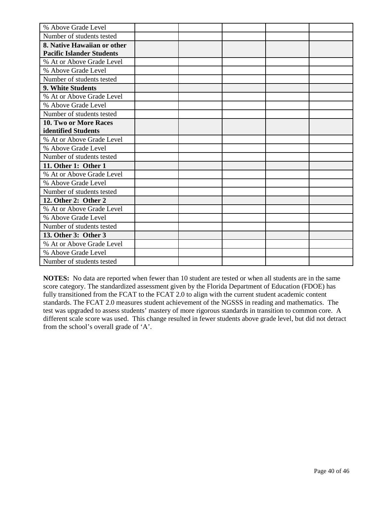| % Above Grade Level              |  |  |  |
|----------------------------------|--|--|--|
| Number of students tested        |  |  |  |
| 8. Native Hawaiian or other      |  |  |  |
| <b>Pacific Islander Students</b> |  |  |  |
| % At or Above Grade Level        |  |  |  |
| % Above Grade Level              |  |  |  |
| Number of students tested        |  |  |  |
| 9. White Students                |  |  |  |
| % At or Above Grade Level        |  |  |  |
| % Above Grade Level              |  |  |  |
| Number of students tested        |  |  |  |
| 10. Two or More Races            |  |  |  |
| identified Students              |  |  |  |
| % At or Above Grade Level        |  |  |  |
| % Above Grade Level              |  |  |  |
| Number of students tested        |  |  |  |
| 11. Other 1: Other 1             |  |  |  |
| % At or Above Grade Level        |  |  |  |
| % Above Grade Level              |  |  |  |
| Number of students tested        |  |  |  |
| 12. Other 2: Other 2             |  |  |  |
| % At or Above Grade Level        |  |  |  |
| % Above Grade Level              |  |  |  |
| Number of students tested        |  |  |  |
| 13. Other 3: Other 3             |  |  |  |
| % At or Above Grade Level        |  |  |  |
| % Above Grade Level              |  |  |  |
| Number of students tested        |  |  |  |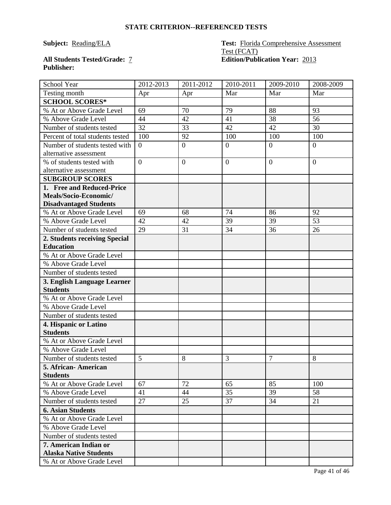#### **Subject:** Reading/ELA **Test:** Florida Comprehensive Assessment Test (FCAT) **All Students Tested/Grade:** 7 **Edition/Publication Year:** 2013

## **Publisher:**

| School Year                                            | 2012-2013        | $2011 - 2012$    | 2010-2011      | 2009-2010      | 2008-2009      |
|--------------------------------------------------------|------------------|------------------|----------------|----------------|----------------|
| Testing month                                          | Apr              | Apr              | Mar            | Mar            | Mar            |
| <b>SCHOOL SCORES*</b>                                  |                  |                  |                |                |                |
| % At or Above Grade Level                              | 69               | 70               | 79             | 88             | 93             |
| % Above Grade Level                                    | 44               | 42               | 41             | 38             | 56             |
| Number of students tested                              | 32               | 33               | 42             | 42             | 30             |
| Percent of total students tested                       | 100              | 92               | 100            | 100            | 100            |
| Number of students tested with                         | $\boldsymbol{0}$ | $\boldsymbol{0}$ | $\overline{0}$ | $\overline{0}$ | $\overline{0}$ |
| alternative assessment                                 |                  |                  |                |                |                |
| % of students tested with                              | $\overline{0}$   | $\overline{0}$   | $\mathbf{0}$   | $\overline{0}$ | $\overline{0}$ |
| alternative assessment                                 |                  |                  |                |                |                |
| <b>SUBGROUP SCORES</b>                                 |                  |                  |                |                |                |
| 1. Free and Reduced-Price                              |                  |                  |                |                |                |
| Meals/Socio-Economic/                                  |                  |                  |                |                |                |
| <b>Disadvantaged Students</b>                          |                  |                  |                |                |                |
| % At or Above Grade Level                              | 69               | 68               | 74             | 86             | 92             |
| % Above Grade Level                                    | 42               | 42               | 39             | 39             | 53             |
| Number of students tested                              | 29               | 31               | 34             | 36             | 26             |
| 2. Students receiving Special                          |                  |                  |                |                |                |
| <b>Education</b>                                       |                  |                  |                |                |                |
| % At or Above Grade Level                              |                  |                  |                |                |                |
| % Above Grade Level                                    |                  |                  |                |                |                |
| Number of students tested                              |                  |                  |                |                |                |
| 3. English Language Learner                            |                  |                  |                |                |                |
| <b>Students</b>                                        |                  |                  |                |                |                |
| % At or Above Grade Level                              |                  |                  |                |                |                |
| % Above Grade Level                                    |                  |                  |                |                |                |
| Number of students tested                              |                  |                  |                |                |                |
| 4. Hispanic or Latino<br><b>Students</b>               |                  |                  |                |                |                |
| % At or Above Grade Level                              |                  |                  |                |                |                |
|                                                        |                  |                  |                |                |                |
| % Above Grade Level                                    |                  |                  |                |                |                |
| Number of students tested                              | 5                | 8                | 3              | 7              | 8              |
| 5. African-American                                    |                  |                  |                |                |                |
| <b>Students</b><br>% At or Above Grade Level           | 67               | 72               | 65             | 85             | 100            |
|                                                        |                  |                  |                |                |                |
| % Above Grade Level<br>Number of students tested       | 41<br>27         | 44<br>25         | 35<br>37       | 39<br>34       | 58<br>21       |
|                                                        |                  |                  |                |                |                |
| <b>6. Asian Students</b>                               |                  |                  |                |                |                |
| % At or Above Grade Level                              |                  |                  |                |                |                |
| % Above Grade Level                                    |                  |                  |                |                |                |
| Number of students tested                              |                  |                  |                |                |                |
| 7. American Indian or<br><b>Alaska Native Students</b> |                  |                  |                |                |                |
| % At or Above Grade Level                              |                  |                  |                |                |                |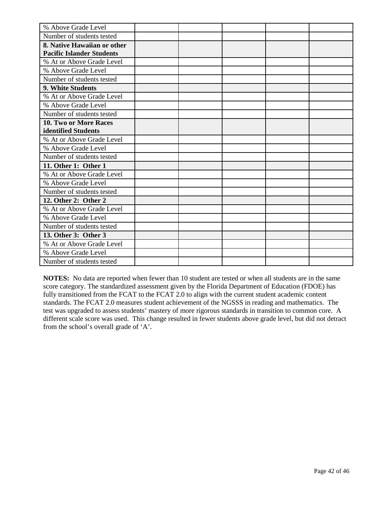| % Above Grade Level              |  |  |  |
|----------------------------------|--|--|--|
| Number of students tested        |  |  |  |
| 8. Native Hawaiian or other      |  |  |  |
| <b>Pacific Islander Students</b> |  |  |  |
| % At or Above Grade Level        |  |  |  |
| % Above Grade Level              |  |  |  |
| Number of students tested        |  |  |  |
| 9. White Students                |  |  |  |
| % At or Above Grade Level        |  |  |  |
| % Above Grade Level              |  |  |  |
| Number of students tested        |  |  |  |
| 10. Two or More Races            |  |  |  |
| identified Students              |  |  |  |
| % At or Above Grade Level        |  |  |  |
| % Above Grade Level              |  |  |  |
| Number of students tested        |  |  |  |
| 11. Other 1: Other 1             |  |  |  |
| % At or Above Grade Level        |  |  |  |
| % Above Grade Level              |  |  |  |
| Number of students tested        |  |  |  |
| 12. Other 2: Other 2             |  |  |  |
| % At or Above Grade Level        |  |  |  |
| % Above Grade Level              |  |  |  |
| Number of students tested        |  |  |  |
| 13. Other 3: Other 3             |  |  |  |
| % At or Above Grade Level        |  |  |  |
| % Above Grade Level              |  |  |  |
| Number of students tested        |  |  |  |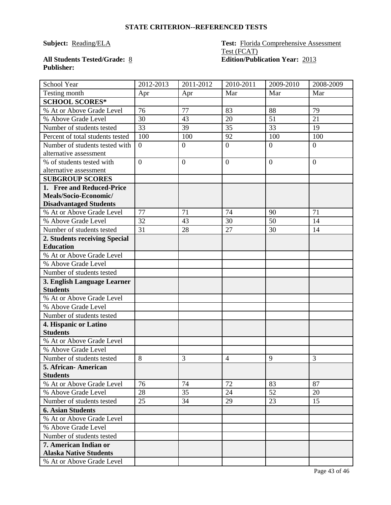#### **Subject:** Reading/ELA **Test:** Florida Comprehensive Assessment Test (FCAT) **All Students Tested/Grade:** 8 **Edition/Publication Year:** 2013

## **Publisher:**

| School Year                                            | 2012-2013      | 2011-2012      | 2010-2011      | 2009-2010      | 2008-2009      |
|--------------------------------------------------------|----------------|----------------|----------------|----------------|----------------|
| Testing month                                          | Apr            | Apr            | Mar            | Mar            | Mar            |
| <b>SCHOOL SCORES*</b>                                  |                |                |                |                |                |
| % At or Above Grade Level                              | 76             | 77             | 83             | 88             | 79             |
| % Above Grade Level                                    | 30             | 43             | 20             | 51             | 21             |
| Number of students tested                              | 33             | 39             | 35             | 33             | 19             |
| Percent of total students tested                       | 100            | 100            | 92             | 100            | 100            |
| Number of students tested with                         | $\overline{0}$ | $\overline{0}$ | $\overline{0}$ | $\overline{0}$ | $\overline{0}$ |
| alternative assessment                                 |                |                |                |                |                |
| % of students tested with                              | $\overline{0}$ | $\overline{0}$ | $\overline{0}$ | $\overline{0}$ | $\theta$       |
| alternative assessment                                 |                |                |                |                |                |
| <b>SUBGROUP SCORES</b>                                 |                |                |                |                |                |
| 1. Free and Reduced-Price                              |                |                |                |                |                |
| Meals/Socio-Economic/                                  |                |                |                |                |                |
| <b>Disadvantaged Students</b>                          |                |                |                |                |                |
| % At or Above Grade Level                              | 77             | 71             | 74             | 90             | 71             |
| % Above Grade Level                                    | 32             | 43             | 30             | 50             | 14             |
| Number of students tested                              | 31             | 28             | 27             | 30             | 14             |
| 2. Students receiving Special                          |                |                |                |                |                |
| <b>Education</b>                                       |                |                |                |                |                |
| % At or Above Grade Level                              |                |                |                |                |                |
| % Above Grade Level                                    |                |                |                |                |                |
| Number of students tested                              |                |                |                |                |                |
| 3. English Language Learner                            |                |                |                |                |                |
| <b>Students</b>                                        |                |                |                |                |                |
| % At or Above Grade Level                              |                |                |                |                |                |
| % Above Grade Level                                    |                |                |                |                |                |
| Number of students tested                              |                |                |                |                |                |
| 4. Hispanic or Latino                                  |                |                |                |                |                |
| <b>Students</b>                                        |                |                |                |                |                |
| % At or Above Grade Level                              |                |                |                |                |                |
| % Above Grade Level                                    |                |                |                |                |                |
| Number of students tested                              | 8              | 3              | $\overline{4}$ | 9              | 3              |
| 5. African-American                                    |                |                |                |                |                |
| <b>Students</b>                                        |                |                |                |                |                |
| % At or Above Grade Level                              | 76             | 74             | 72             | 83             | 87             |
| % Above Grade Level                                    | 28             | 35             | 24             | 52             | 20             |
| Number of students tested                              | 25             | 34             | 29             | 23             | 15             |
| <b>6. Asian Students</b>                               |                |                |                |                |                |
| % At or Above Grade Level                              |                |                |                |                |                |
| % Above Grade Level                                    |                |                |                |                |                |
| Number of students tested                              |                |                |                |                |                |
| 7. American Indian or<br><b>Alaska Native Students</b> |                |                |                |                |                |
| % At or Above Grade Level                              |                |                |                |                |                |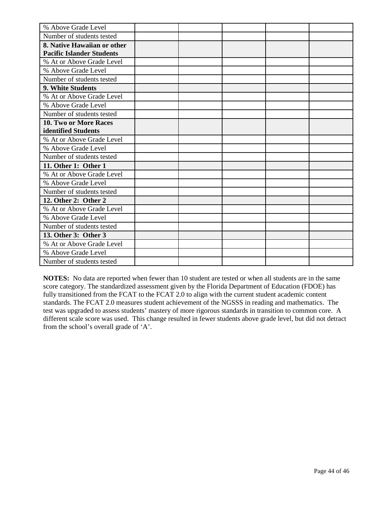| % Above Grade Level              |  |  |  |
|----------------------------------|--|--|--|
| Number of students tested        |  |  |  |
| 8. Native Hawaiian or other      |  |  |  |
| <b>Pacific Islander Students</b> |  |  |  |
| % At or Above Grade Level        |  |  |  |
| % Above Grade Level              |  |  |  |
| Number of students tested        |  |  |  |
| 9. White Students                |  |  |  |
| % At or Above Grade Level        |  |  |  |
| % Above Grade Level              |  |  |  |
| Number of students tested        |  |  |  |
| 10. Two or More Races            |  |  |  |
| identified Students              |  |  |  |
| % At or Above Grade Level        |  |  |  |
| % Above Grade Level              |  |  |  |
| Number of students tested        |  |  |  |
| 11. Other 1: Other 1             |  |  |  |
| % At or Above Grade Level        |  |  |  |
| % Above Grade Level              |  |  |  |
| Number of students tested        |  |  |  |
| 12. Other 2: Other 2             |  |  |  |
| % At or Above Grade Level        |  |  |  |
| % Above Grade Level              |  |  |  |
| Number of students tested        |  |  |  |
| 13. Other 3: Other 3             |  |  |  |
| % At or Above Grade Level        |  |  |  |
| % Above Grade Level              |  |  |  |
| Number of students tested        |  |  |  |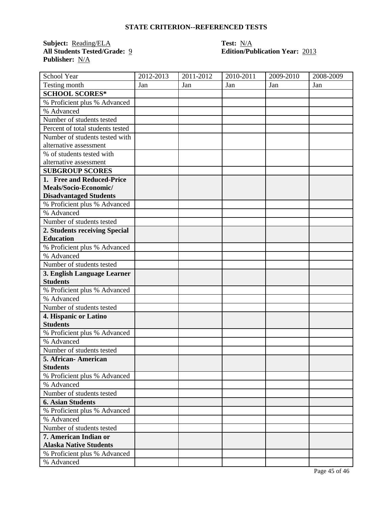**Subject:** <u>Reading/ELA</u><br>All Students Tested/Grade: 2 **Publisher:** N/A

# **Test:** <u>N/A</u><br>**Edition/Publication Year:** 2013

| School Year                      | 2012-2013 | $2011 - 2012$ | 2010-2011 | 2009-2010 | 2008-2009 |
|----------------------------------|-----------|---------------|-----------|-----------|-----------|
| Testing month                    | Jan       | Jan           | Jan       | Jan       | Jan       |
| <b>SCHOOL SCORES*</b>            |           |               |           |           |           |
| % Proficient plus % Advanced     |           |               |           |           |           |
| % Advanced                       |           |               |           |           |           |
| Number of students tested        |           |               |           |           |           |
| Percent of total students tested |           |               |           |           |           |
| Number of students tested with   |           |               |           |           |           |
| alternative assessment           |           |               |           |           |           |
| % of students tested with        |           |               |           |           |           |
| alternative assessment           |           |               |           |           |           |
| <b>SUBGROUP SCORES</b>           |           |               |           |           |           |
| 1. Free and Reduced-Price        |           |               |           |           |           |
| Meals/Socio-Economic/            |           |               |           |           |           |
| <b>Disadvantaged Students</b>    |           |               |           |           |           |
| % Proficient plus % Advanced     |           |               |           |           |           |
| % Advanced                       |           |               |           |           |           |
| Number of students tested        |           |               |           |           |           |
| 2. Students receiving Special    |           |               |           |           |           |
| <b>Education</b>                 |           |               |           |           |           |
| % Proficient plus % Advanced     |           |               |           |           |           |
| % Advanced                       |           |               |           |           |           |
| Number of students tested        |           |               |           |           |           |
| 3. English Language Learner      |           |               |           |           |           |
| <b>Students</b>                  |           |               |           |           |           |
| % Proficient plus % Advanced     |           |               |           |           |           |
| % Advanced                       |           |               |           |           |           |
| Number of students tested        |           |               |           |           |           |
| 4. Hispanic or Latino            |           |               |           |           |           |
| <b>Students</b>                  |           |               |           |           |           |
| % Proficient plus % Advanced     |           |               |           |           |           |
| % Advanced                       |           |               |           |           |           |
| Number of students tested        |           |               |           |           |           |
| 5. African- American             |           |               |           |           |           |
| <b>Students</b>                  |           |               |           |           |           |
| % Proficient plus % Advanced     |           |               |           |           |           |
| % Advanced                       |           |               |           |           |           |
| Number of students tested        |           |               |           |           |           |
| <b>6. Asian Students</b>         |           |               |           |           |           |
| % Proficient plus % Advanced     |           |               |           |           |           |
| % Advanced                       |           |               |           |           |           |
| Number of students tested        |           |               |           |           |           |
| 7. American Indian or            |           |               |           |           |           |
| <b>Alaska Native Students</b>    |           |               |           |           |           |
| % Proficient plus % Advanced     |           |               |           |           |           |
| % Advanced                       |           |               |           |           |           |